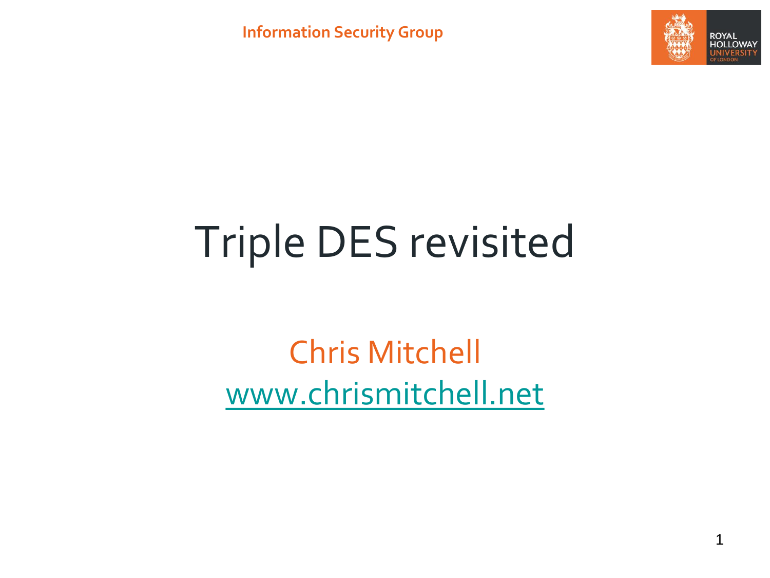**Information Security Group**



# Triple DES revisited

Chris Mitchell [www.chrismitchell.net](http://www.chrismitchell.net/)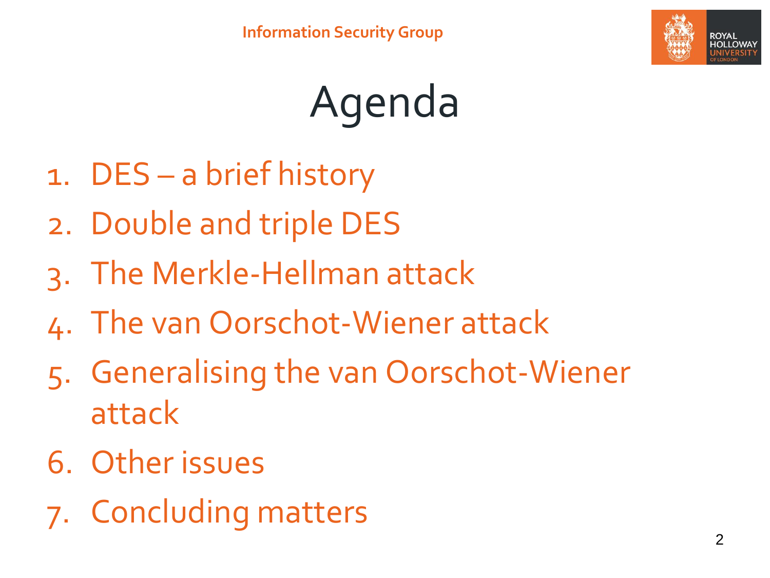

# Agenda

- 1. DES a brief history
- 2. Double and triple DES
- 3. The Merkle-Hellman attack
- 4. The van Oorschot-Wiener attack
- 5. Generalising the van Oorschot-Wiener attack
- 6. Other issues
- 7. Concluding matters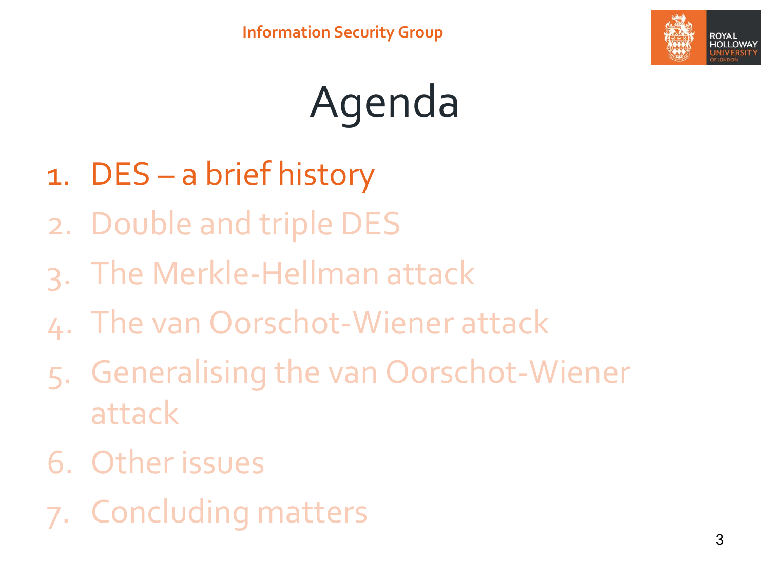

# Agenda

- 1. DES a brief history
- 2. Double and triple DES
- 3. The Merkle-Hellman attack
- 4. The van Oorschot-Wiener attack
- 5. Generalising the van Oorschot-Wiener attack
- 6. Other issues
- 7. Concluding matters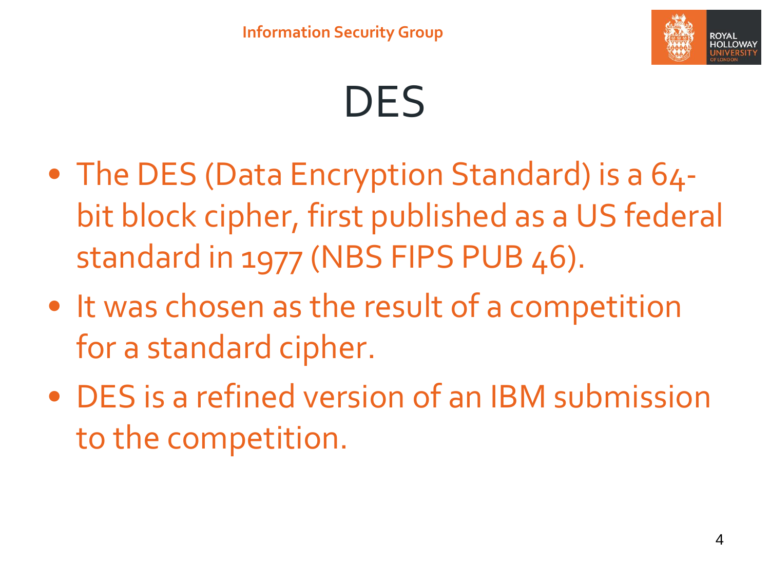

### DES

- The DES (Data Encryption Standard) is a 64bit block cipher, first published as a US federal standard in 1977 (NBS FIPS PUB 46).
- It was chosen as the result of a competition for a standard cipher.
- DES is a refined version of an IBM submission to the competition.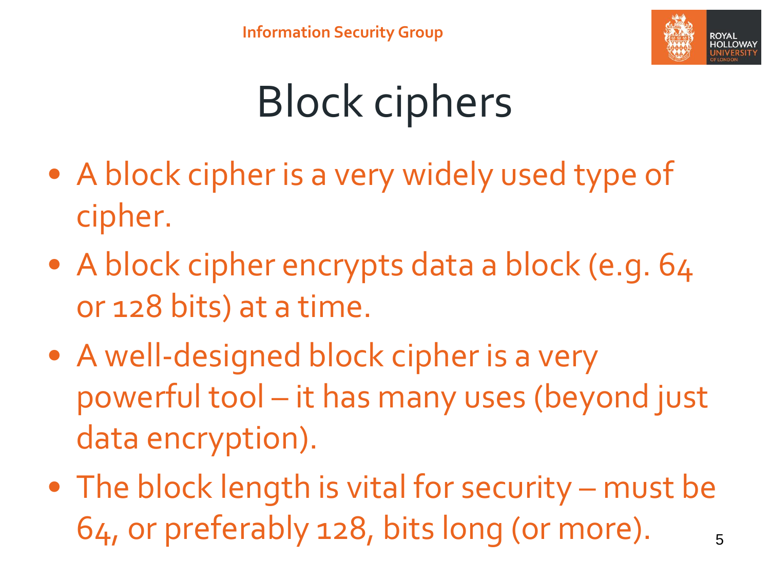

# Block ciphers

- A block cipher is a very widely used type of cipher.
- A block cipher encrypts data a block (e.g. 64 or 128 bits) at a time.
- A well-designed block cipher is a very powerful tool – it has many uses (beyond just data encryption).
- The block length is vital for security must be  $64$ , or preferably 128, bits long (or more).  $\frac{5}{5}$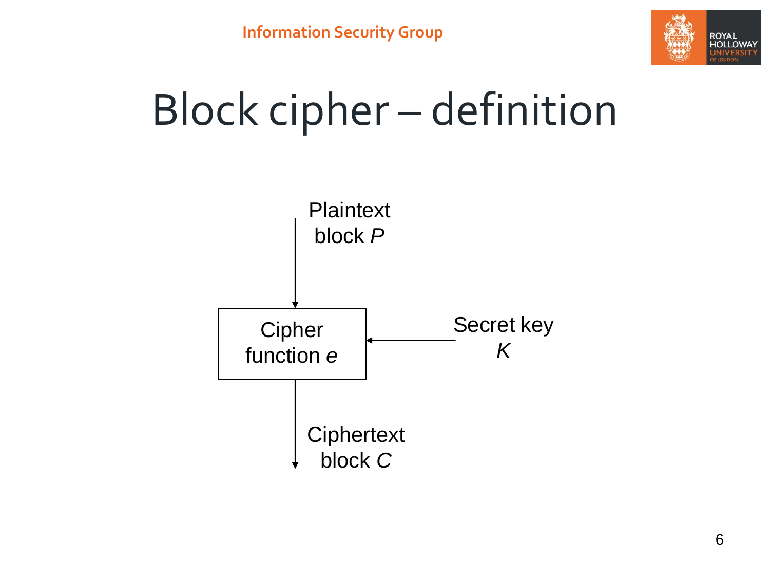

### Block cipher – definition

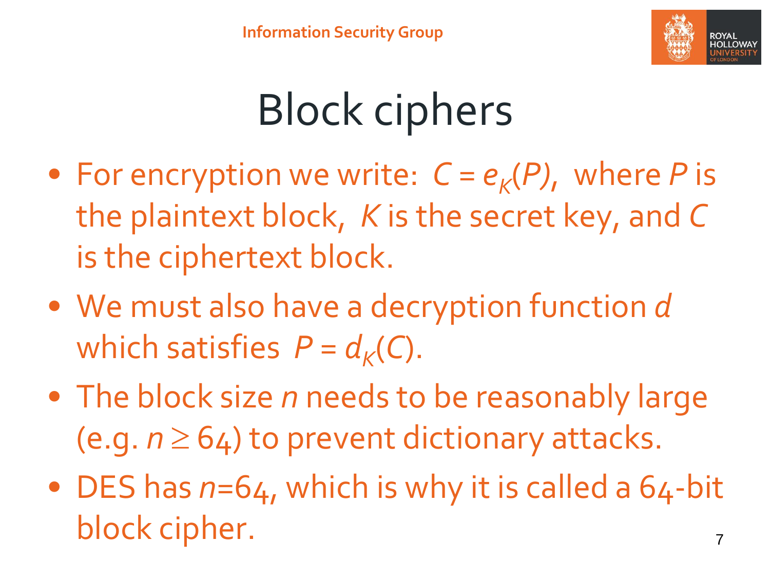

# Block ciphers

- For encryption we write:  $C = e_K(P)$ , where P is the plaintext block, *K* is the secret key, and *C* is the ciphertext block.
- We must also have a decryption function *d* which satisfies  $P = d_K(C)$ .
- The block size *n* needs to be reasonably large (e.g.  $n \geq 64$ ) to prevent dictionary attacks.
- DES has  $n=64$ , which is why it is called a 64-bit block cipher.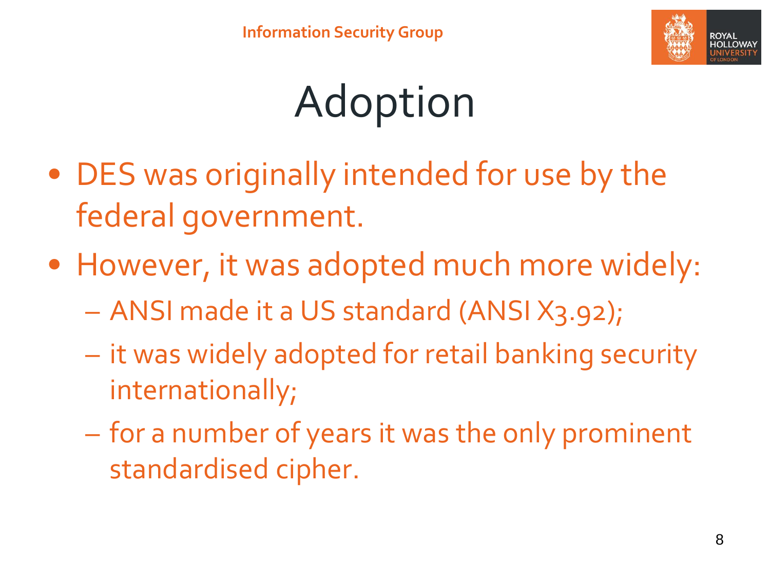

# Adoption

- DES was originally intended for use by the federal government.
- However, it was adopted much more widely:
	- ANSI made it a US standard (ANSI X3.92);
	- it was widely adopted for retail banking security internationally;
	- for a number of years it was the only prominent standardised cipher.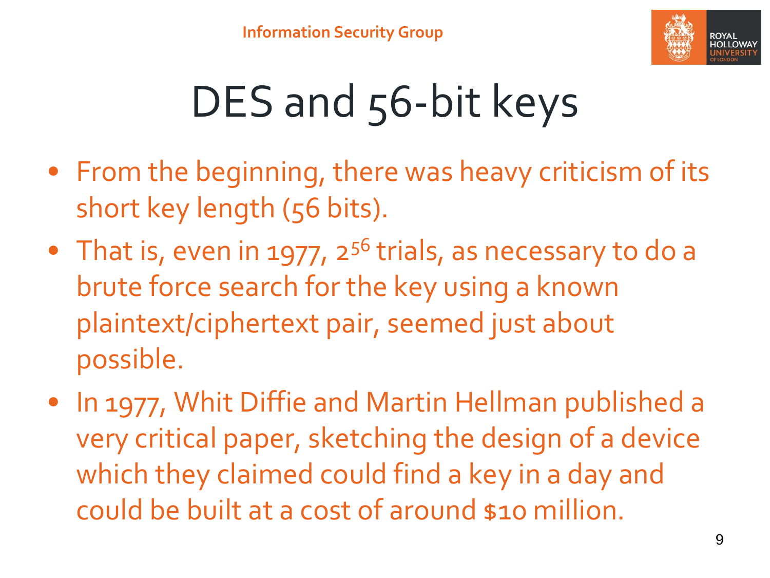

# DES and 56-bit keys

- From the beginning, there was heavy criticism of its short key length (56 bits).
- That is, even in 1977,  $2^{56}$  trials, as necessary to do a brute force search for the key using a known plaintext/ciphertext pair, seemed just about possible.
- In 1977, Whit Diffie and Martin Hellman published a very critical paper, sketching the design of a device which they claimed could find a key in a day and could be built at a cost of around \$10 million.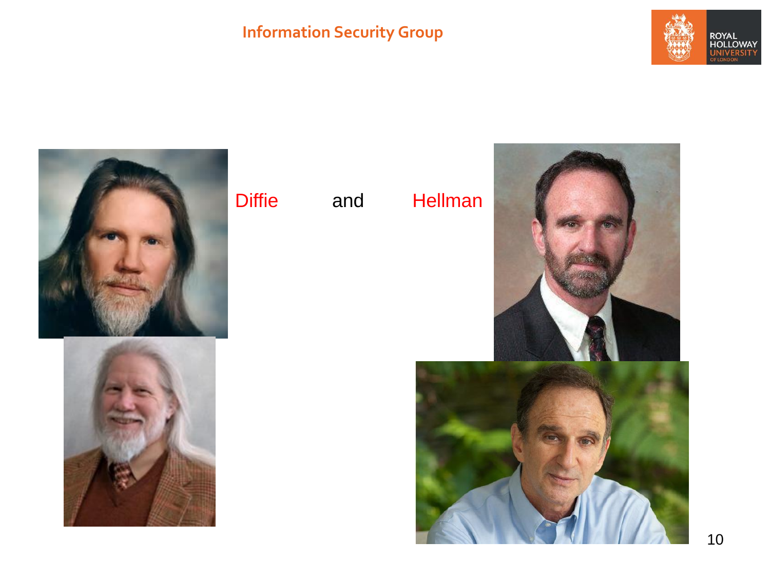### **Information Security Group**







### Diffie and Hellman

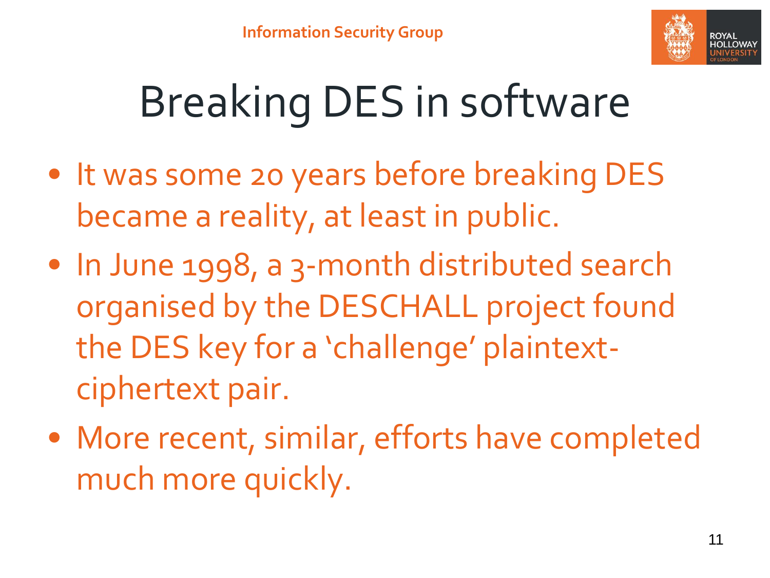

# Breaking DES in software

- It was some 20 years before breaking DES became a reality, at least in public.
- In June 1998, a 3-month distributed search organised by the DESCHALL project found the DES key for a 'challenge' plaintextciphertext pair.
- More recent, similar, efforts have completed much more quickly.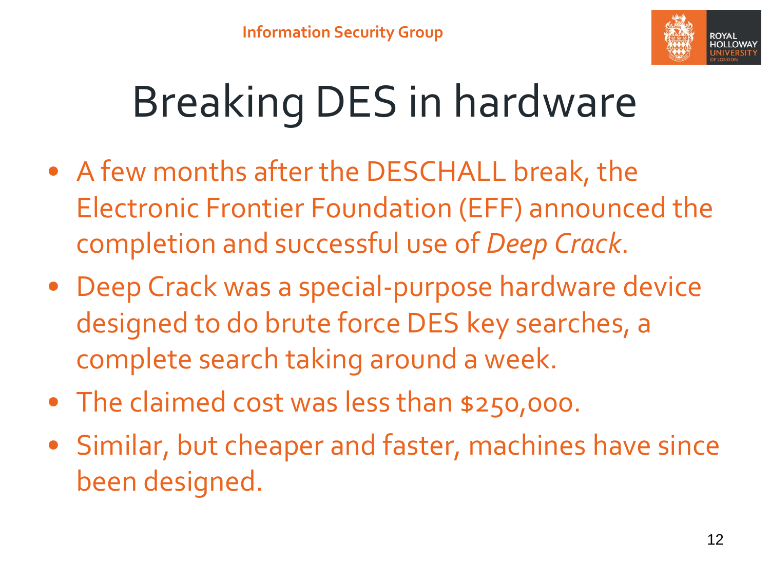

# Breaking DES in hardware

- A few months after the DESCHALL break, the Electronic Frontier Foundation (EFF) announced the completion and successful use of *Deep Crack*.
- Deep Crack was a special-purpose hardware device designed to do brute force DES key searches, a complete search taking around a week.
- The claimed cost was less than \$250,000.
- Similar, but cheaper and faster, machines have since been designed.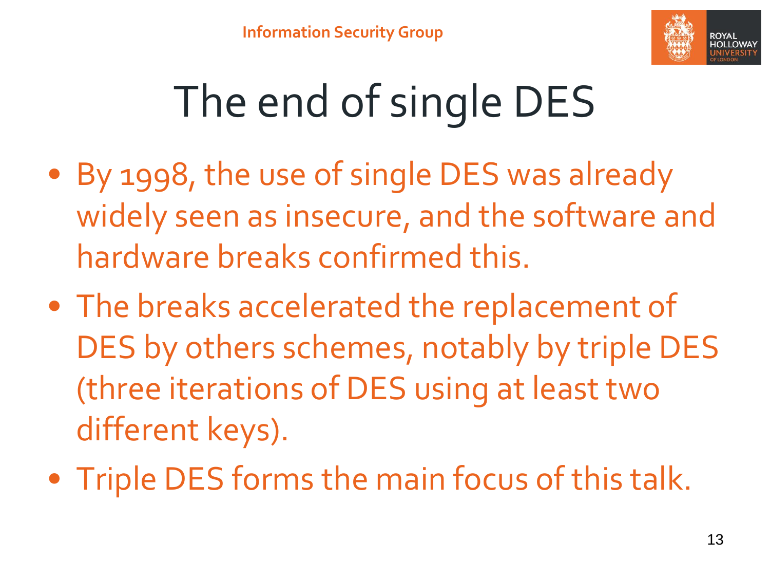

# The end of single DES

- By 1998, the use of single DES was already widely seen as insecure, and the software and hardware breaks confirmed this.
- The breaks accelerated the replacement of DES by others schemes, notably by triple DES (three iterations of DES using at least two different keys).
- Triple DES forms the main focus of this talk.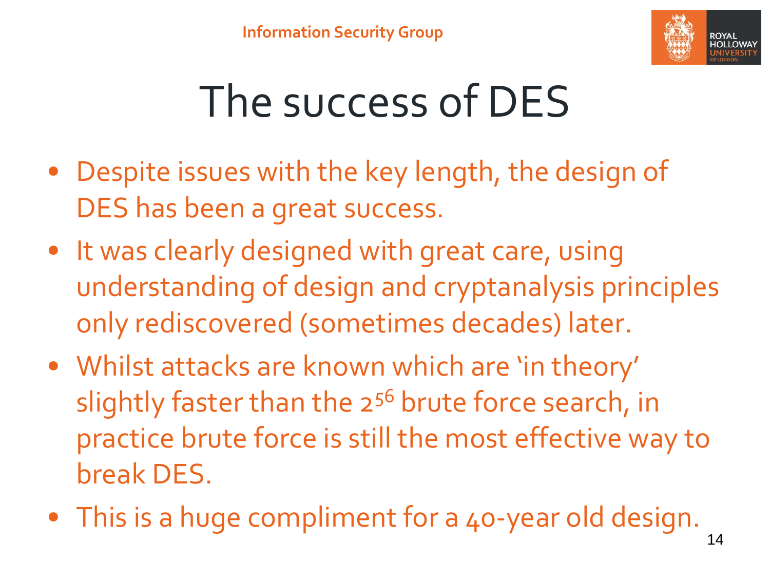

# The success of DES

- Despite issues with the key length, the design of DES has been a great success.
- It was clearly designed with great care, using understanding of design and cryptanalysis principles only rediscovered (sometimes decades) later.
- Whilst attacks are known which are 'in theory' slightly faster than the 2<sup>56</sup> brute force search, in practice brute force is still the most effective way to break DES.
- This is a huge compliment for a 40-year old design.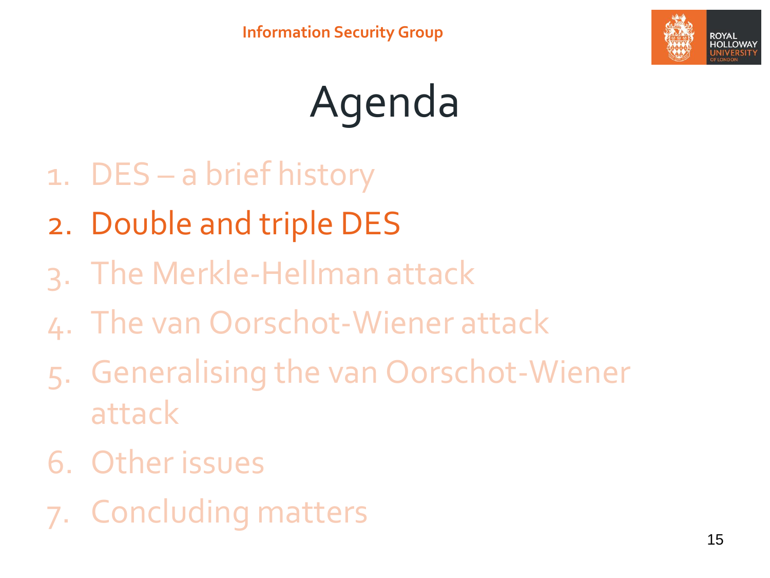

# Agenda

- 1. DES a brief history
- 2. Double and triple DES
- 3. The Merkle-Hellman attack
- 4. The van Oorschot-Wiener attack
- 5. Generalising the van Oorschot-Wiener attack
- 6. Other issues
- 7. Concluding matters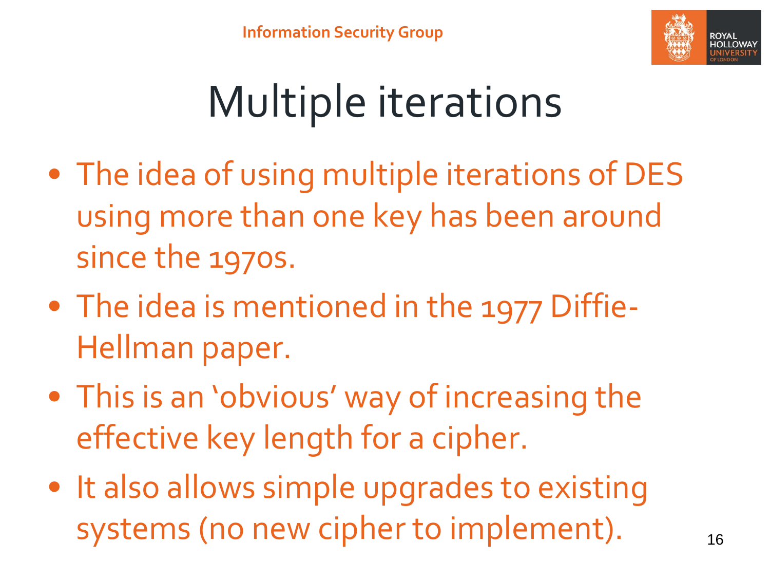

# Multiple iterations

- The idea of using multiple iterations of DES using more than one key has been around since the 1970s.
- The idea is mentioned in the 1977 Diffie-Hellman paper.
- This is an 'obvious' way of increasing the effective key length for a cipher.
- It also allows simple upgrades to existing systems (no new cipher to implement).  $16$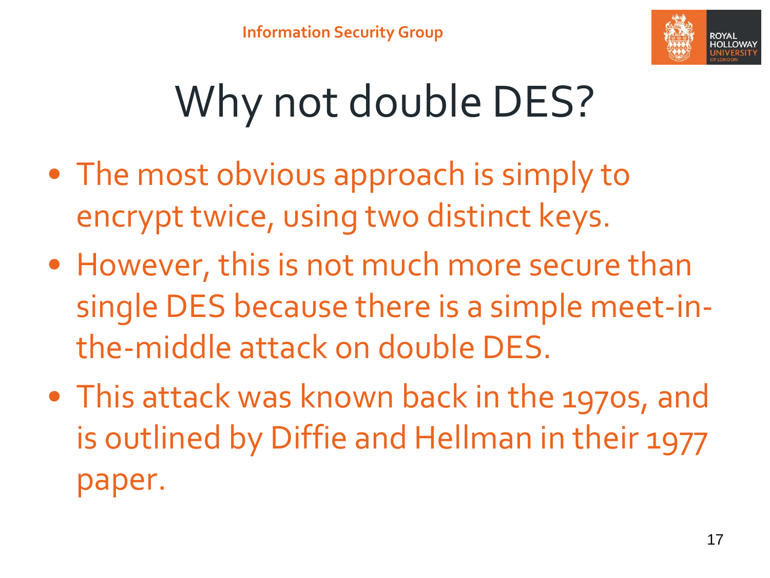

# Why not double DES?

- The most obvious approach is simply to encrypt twice, using two distinct keys.
- However, this is not much more secure than single DES because there is a simple meet-inthe-middle attack on double DES.
- This attack was known back in the 1970s, and is outlined by Diffie and Hellman in their 1977 paper.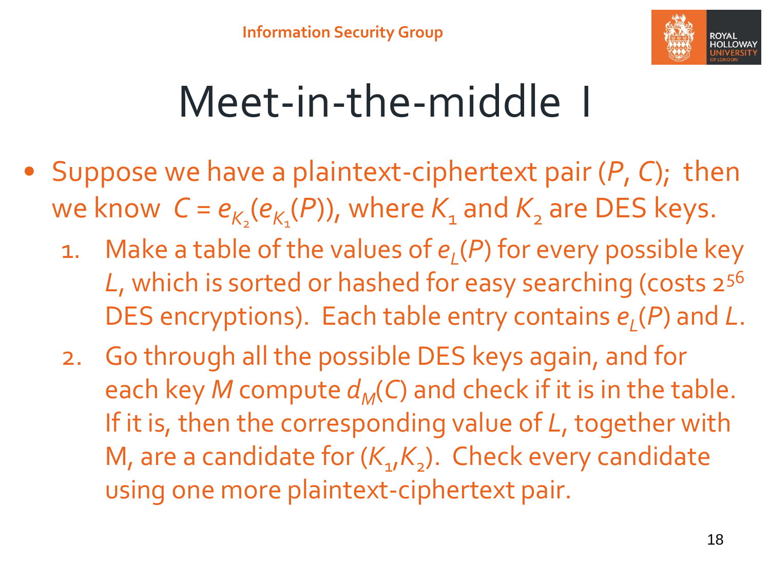

### Meet-in-the-middle I

- Suppose we have a plaintext-ciphertext pair (*P*, *C*); then we know  $C = e_{K_2}(e_{K_1}(P))$ , where  $K_1$  and  $K_2$  are DES keys.
	- 1. Make a table of the values of *e<sup>L</sup>* (*P*) for every possible key *L*, which is sorted or hashed for easy searching (costs 2<sup>56</sup> DES encryptions). Each table entry contains *e<sup>L</sup>* (*P*) and *L*.
	- 2. Go through all the possible DES keys again, and for each key *M* compute  $d_M(C)$  and check if it is in the table. If it is, then the corresponding value of *L*, together with M, are a candidate for  $(K_{1}/K_{2})$ . Check every candidate using one more plaintext-ciphertext pair.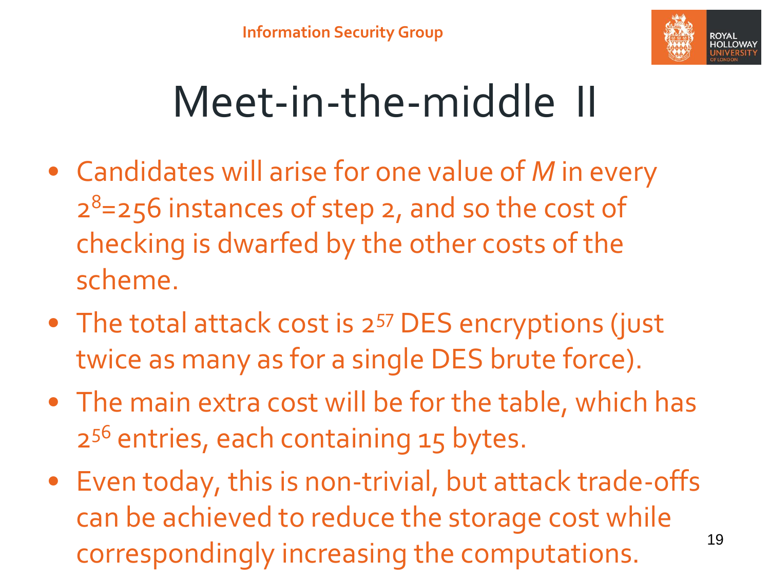

### Meet-in-the-middle II

- Candidates will arise for one value of *M* in every 2 <sup>8</sup>=256 instances of step 2, and so the cost of checking is dwarfed by the other costs of the scheme.
- The total attack cost is 2<sup>57</sup> DES encryptions (just twice as many as for a single DES brute force).
- The main extra cost will be for the table, which has 2 <sup>56</sup> entries, each containing 15 bytes.
- Even today, this is non-trivial, but attack trade-offs can be achieved to reduce the storage cost while correspondingly increasing the computations.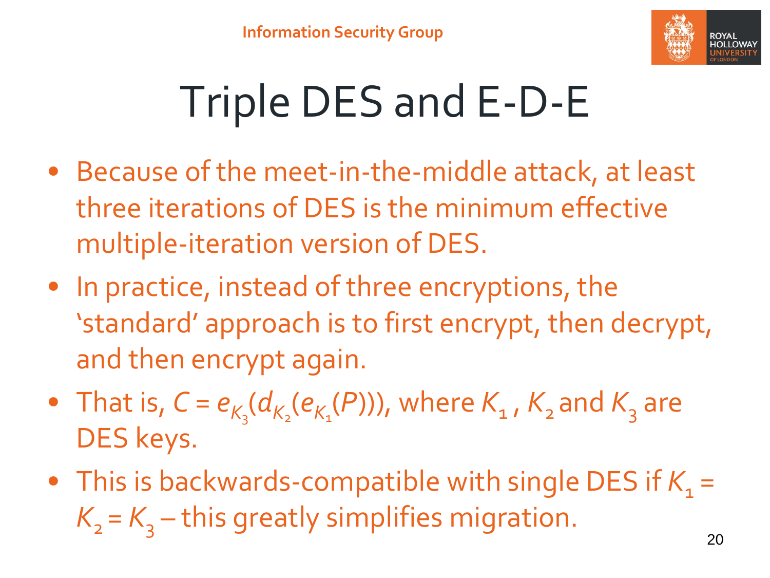

# Triple DES and E-D-E

- Because of the meet-in-the-middle attack, at least three iterations of DES is the minimum effective multiple-iteration version of DES.
- In practice, instead of three encryptions, the 'standard' approach is to first encrypt, then decrypt, and then encrypt again.
- That is,  $C = e_{K_3}(d_{K_2}(e_{K_1}(P)))$ , where  $K_1$ ,  $K_2$  and  $K_3$  are DES keys.
- This is backwards-compatible with single DES if  $K_1 =$  $K_{2} = K_{3}$  – this greatly simplifies migration.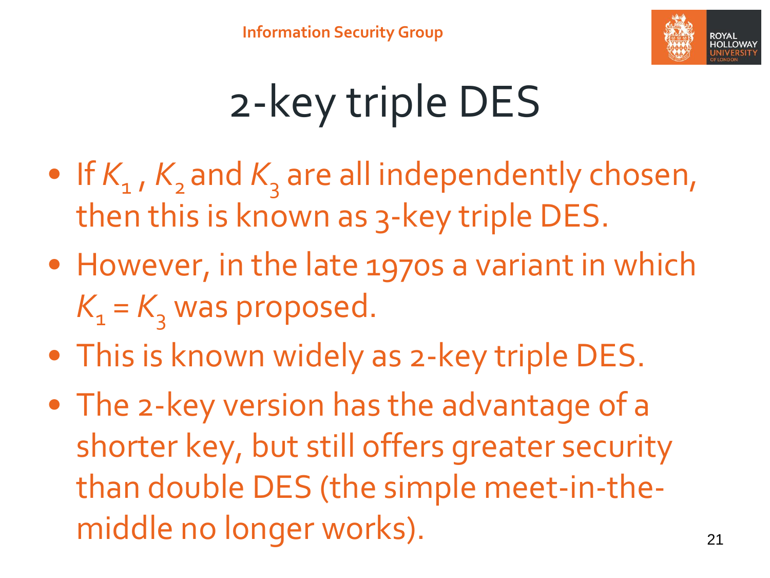

# 2-key triple DES

- If  $K_{1}$ ,  $K_{2}$  and  $K_{3}$  are all independently chosen, then this is known as 3-key triple DES.
- However, in the late 1970s a variant in which  $K<sub>1</sub> = K<sub>3</sub>$  was proposed.
- This is known widely as 2-key triple DES.
- The 2-key version has the advantage of a shorter key, but still offers greater security than double DES (the simple meet-in-themiddle no longer works). The model of the case of the case of the case of the case of the case of the case of the case of the case of the case of the case of the case of the case of the case of the case of the case of the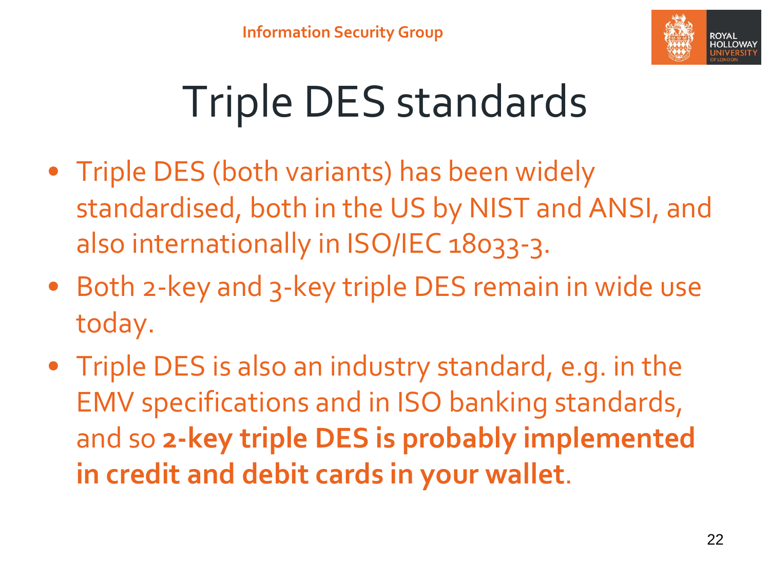

# Triple DES standards

- Triple DES (both variants) has been widely standardised, both in the US by NIST and ANSI, and also internationally in ISO/IEC 18033-3.
- Both 2-key and 3-key triple DES remain in wide use today.
- Triple DES is also an industry standard, e.g. in the EMV specifications and in ISO banking standards, and so **2-key triple DES is probably implemented in credit and debit cards in your wallet**.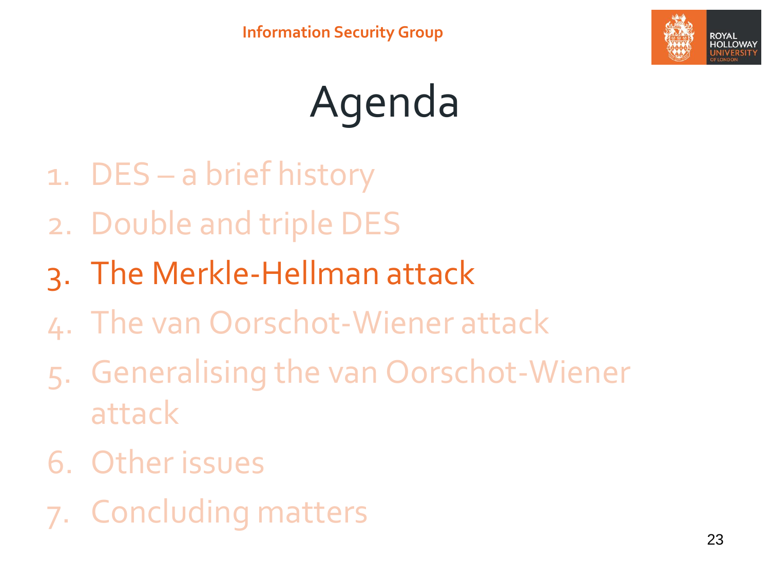

# Agenda

- 1. DES a brief history
- 2. Double and triple DES
- 3. The Merkle-Hellman attack
- 4. The van Oorschot-Wiener attack
- 5. Generalising the van Oorschot-Wiener attack
- 6. Other issues
- 7. Concluding matters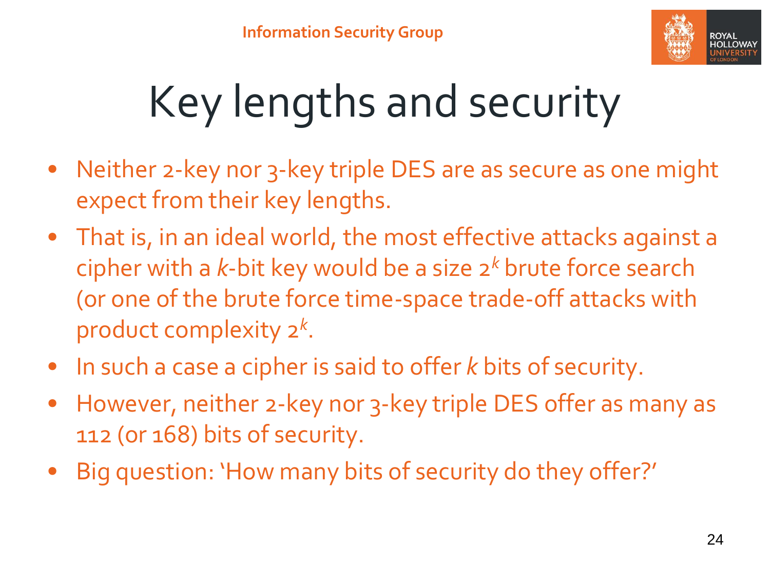

# Key lengths and security

- Neither 2-key nor 3-key triple DES are as secure as one might expect from their key lengths.
- That is, in an ideal world, the most effective attacks against a cipher with a *k*-bit key would be a size 2*<sup>k</sup>* brute force search (or one of the brute force time-space trade-off attacks with product complexity 2*<sup>k</sup>* .
- In such a case a cipher is said to offer *k* bits of security.
- However, neither 2-key nor 3-key triple DES offer as many as 112 (or 168) bits of security.
- Big question: 'How many bits of security do they offer?'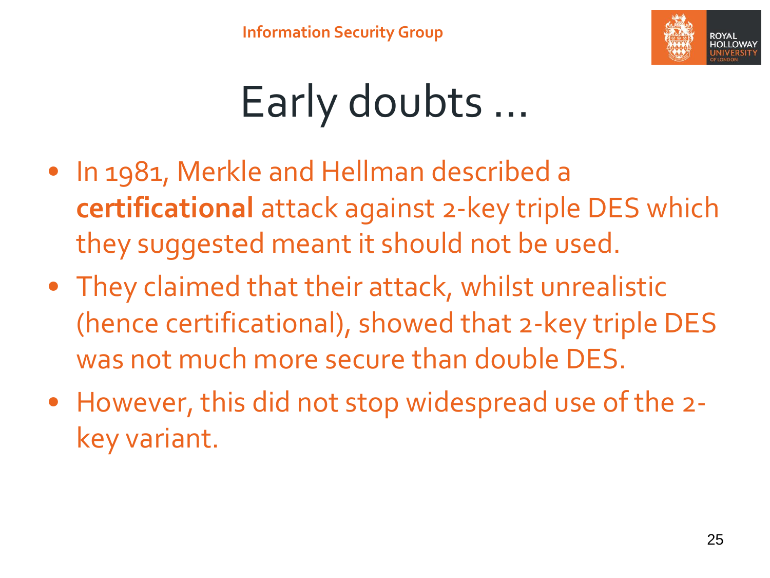

# Early doubts …

- In 1981, Merkle and Hellman described a **certificational** attack against 2-key triple DES which they suggested meant it should not be used.
- They claimed that their attack, whilst unrealistic (hence certificational), showed that 2-key triple DES was not much more secure than double DES.
- However, this did not stop widespread use of the 2 key variant.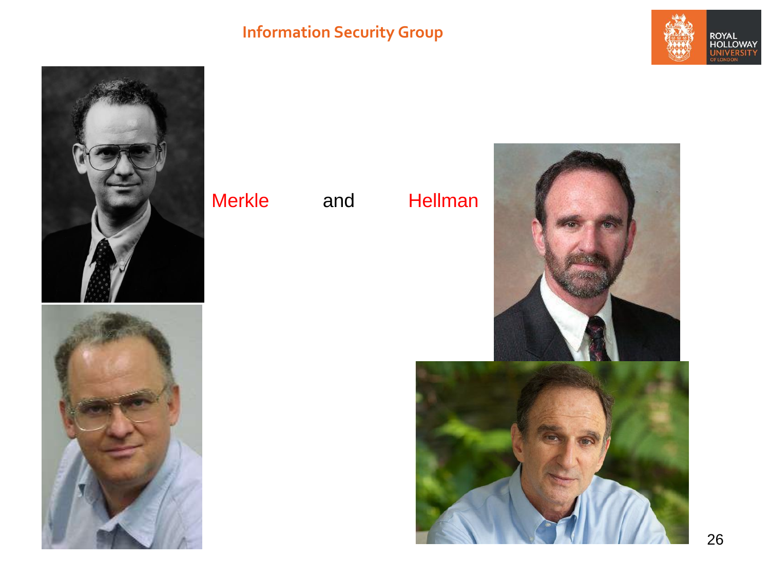### **Information Security Group**





### Merkle and Hellman



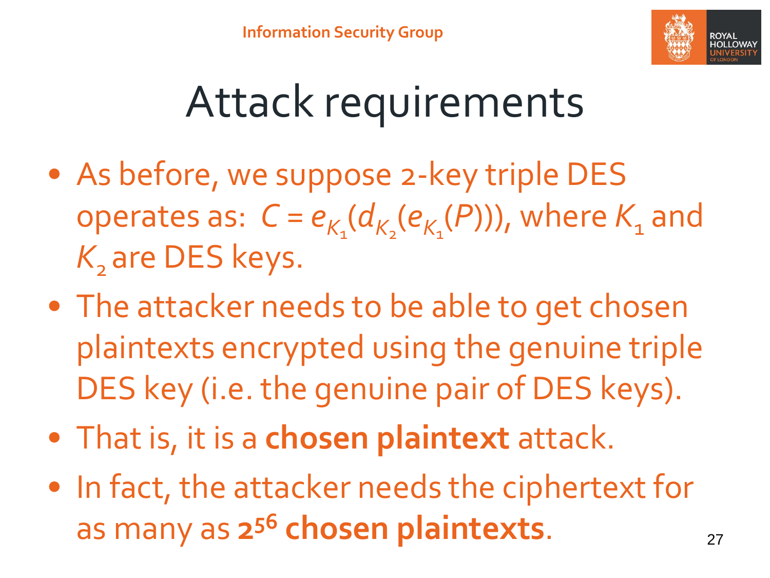

### Attack requirements

- As before, we suppose 2-key triple DES operates as:  $C = e_{K_1}(d_{K_2}(e_{K_1}(P)))$ , where  $K_1$  and K<sub>2</sub> are DES keys.
- The attacker needs to be able to get chosen plaintexts encrypted using the genuine triple DES key (i.e. the genuine pair of DES keys).
- That is, it is a **chosen plaintext** attack.
- In fact, the attacker needs the ciphertext for as many as  $2^{56}$  chosen plaintexts.  $27$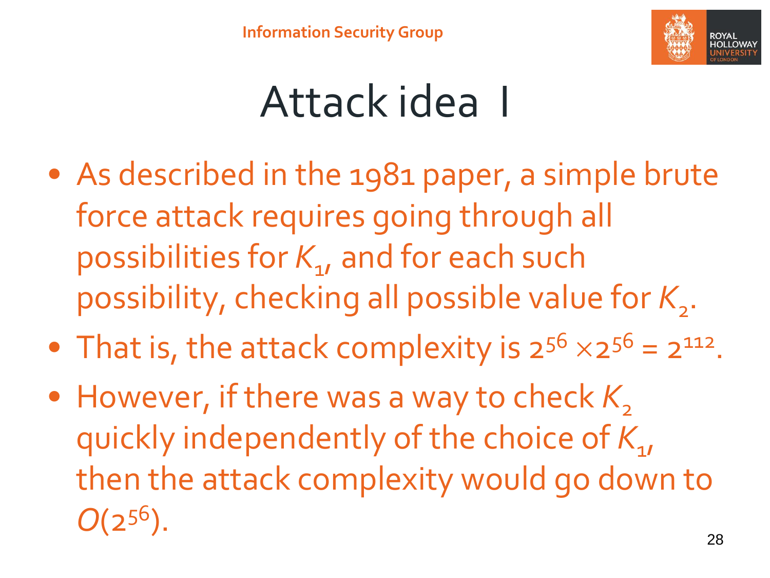

### Attack idea I

- As described in the 1981 paper, a simple brute force attack requires going through all possibilities for *K*<sup>1</sup> , and for each such possibility, checking all possible value for K<sub>2</sub>.
- That is, the attack complexity is  $2^{56} \times 2^{56} = 2^{112}$ .
- However, if there was a way to check K<sub>2</sub> quickly independently of the choice of  $K_{\mathbf{1}\ell}$ then the attack complexity would go down to  $O(2^{56})$ .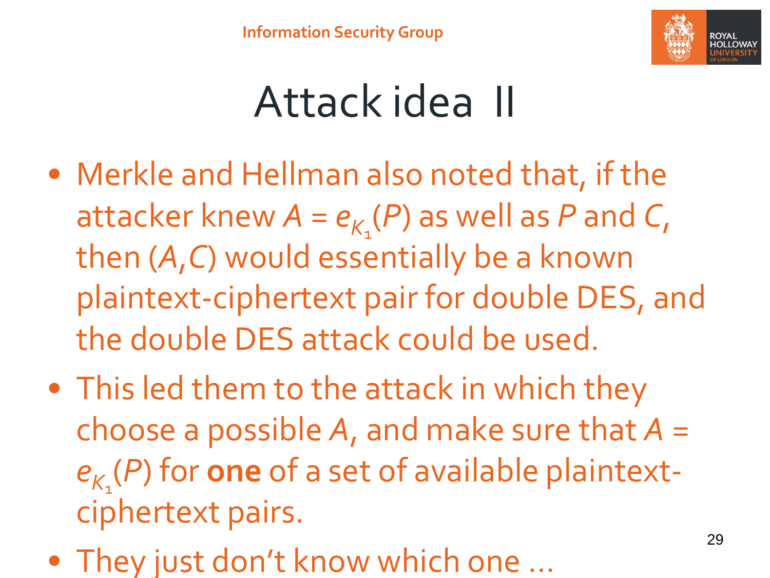

### Attack idea II

- Merkle and Hellman also noted that, if the attacker knew  $A = e_{K_1}(P)$  as well as P and C, then (*A*,*C*) would essentially be a known plaintext-ciphertext pair for double DES, and the double DES attack could be used.
- This led them to the attack in which they choose a possible *A*, and make sure that *A* = *eK*1 (*P*) for **one** of a set of available plaintextciphertext pairs.
- They just don't know which one …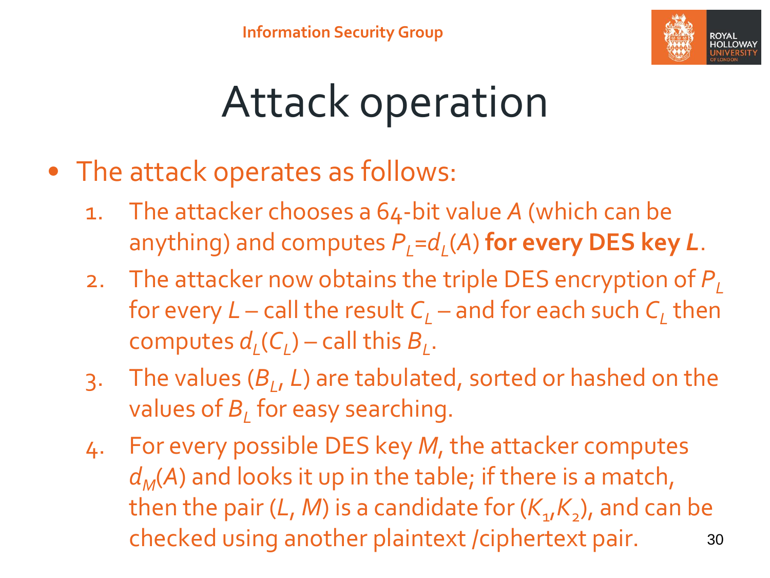

## Attack operation

- The attack operates as follows:
	- 1. The attacker chooses a 64-bit value *A* (which can be anything) and computes *PL*=*d<sup>L</sup>* (*A*) **for every DES key** *L*.
	- 2. The attacker now obtains the triple DES encryption of  $P<sub>L</sub>$ for every *L* – call the result *C<sup>L</sup>* – and for each such *C<sup>L</sup>* then computes  $d_{L}(C_{L})$  – call this  $B_{L}$ .
	- 3. The values (*B<sup>L</sup>* , *L*) are tabulated, sorted or hashed on the values of *B<sup>L</sup>* for easy searching.
	- 4. For every possible DES key *M*, the attacker computes *dM*(*A*) and looks it up in the table; if there is a match, then the pair (*L, M*) is a candidate for ( $K_{\mathbf{1}\prime}K_{\mathbf{2}}$ ), and can be checked using another plaintext /ciphertext pair. 30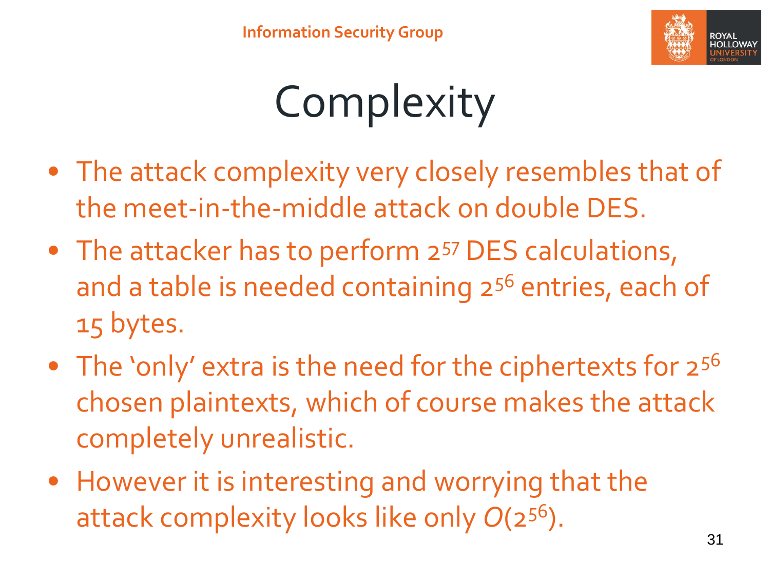

# Complexity

- The attack complexity very closely resembles that of the meet-in-the-middle attack on double DES.
- The attacker has to perform 2<sup>57</sup> DES calculations, and a table is needed containing 2<sup>56</sup> entries, each of 15 bytes.
- The 'only' extra is the need for the ciphertexts for  $2^{56}$ chosen plaintexts, which of course makes the attack completely unrealistic.
- However it is interesting and worrying that the attack complexity looks like only *O*(2<sup>56</sup>).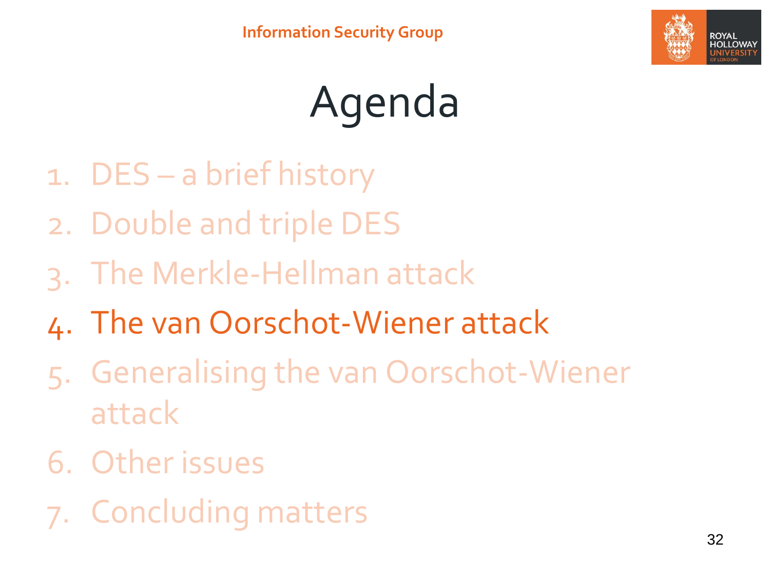

# Agenda

- 1. DES a brief history
- 2. Double and triple DES
- 3. The Merkle-Hellman attack
- 4. The van Oorschot-Wiener attack
- 5. Generalising the van Oorschot-Wiener attack
- 6. Other issues
- 7. Concluding matters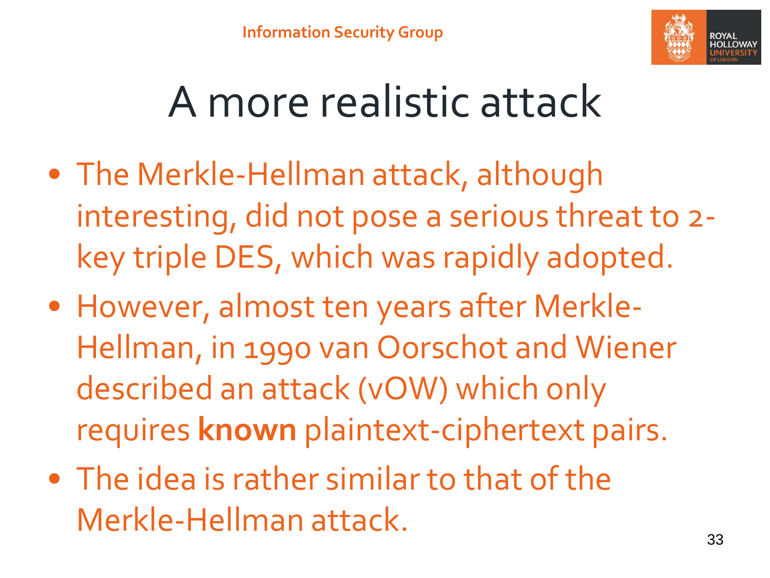

### A more realistic attack

- The Merkle-Hellman attack, although interesting, did not pose a serious threat to 2 key triple DES, which was rapidly adopted.
- However, almost ten years after Merkle-Hellman, in 1990 van Oorschot and Wiener described an attack (vOW) which only requires **known** plaintext-ciphertext pairs.
- The idea is rather similar to that of the Merkle-Hellman attack.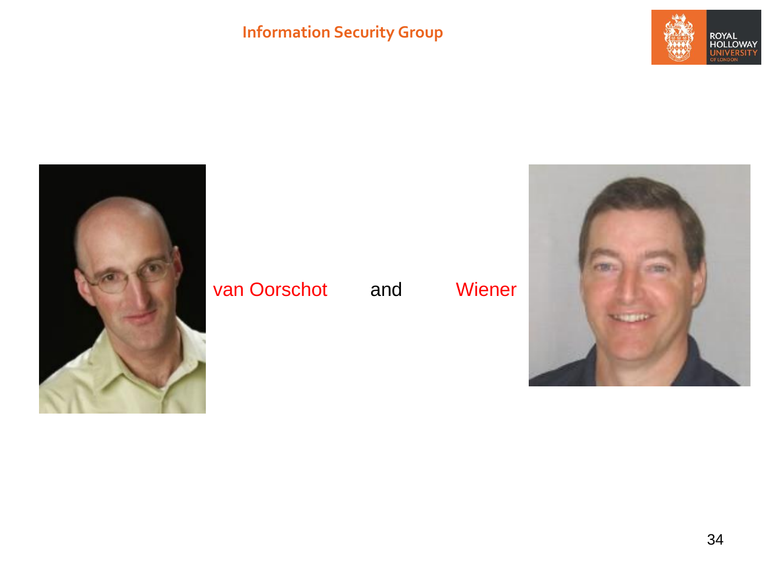### **Information Security Group**





### van Oorschot and Wiener

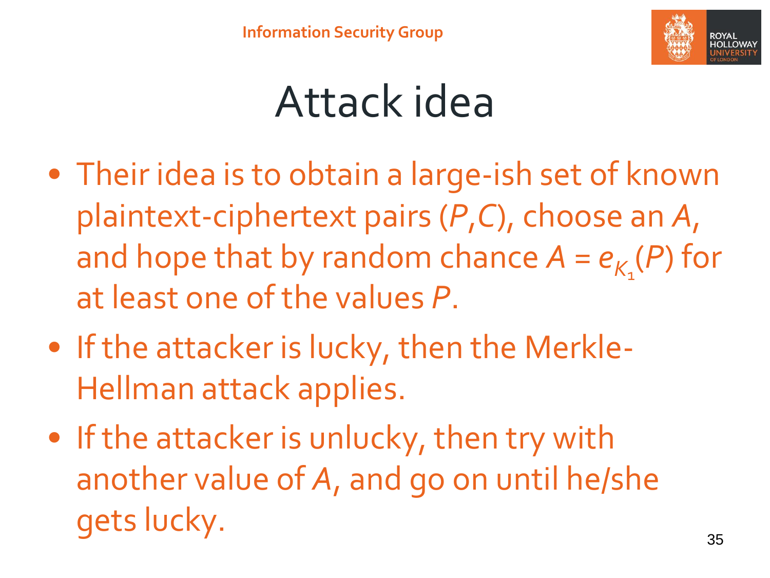

### Attack idea

- Their idea is to obtain a large-ish set of known plaintext-ciphertext pairs (*P*,*C*), choose an *A*, and hope that by random chance  $A = e_{K_1}(P)$  for at least one of the values *P*.
- If the attacker is lucky, then the Merkle-Hellman attack applies.
- If the attacker is unlucky, then try with another value of *A*, and go on until he/she gets lucky.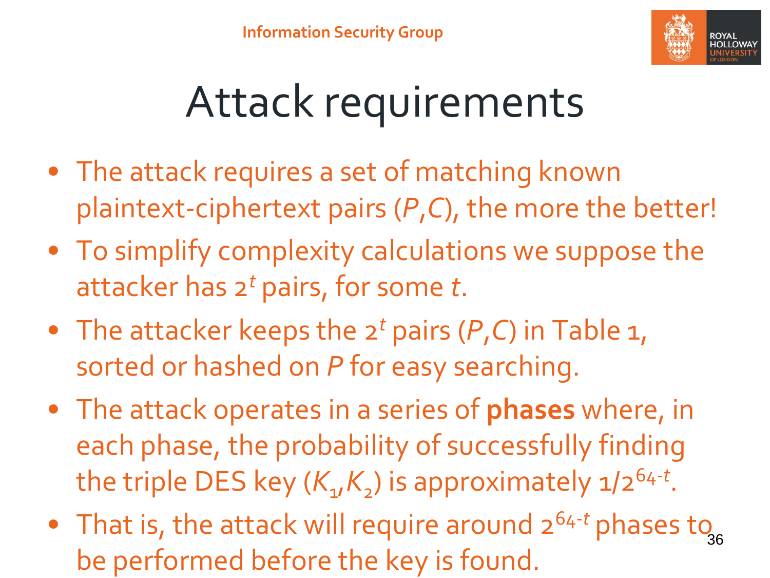

### Attack requirements

- The attack requires a set of matching known plaintext-ciphertext pairs (*P*,*C*), the more the better!
- To simplify complexity calculations we suppose the attacker has 2*<sup>t</sup>* pairs, for some *t*.
- The attacker keeps the 2*<sup>t</sup>* pairs (*P*,*C*) in Table 1, sorted or hashed on *P* for easy searching.
- The attack operates in a series of **phases** where, in each phase, the probability of successfully finding the triple DES key ( $K_{1}/K_{2}$ ) is approximately 1/2<sup>64-t</sup>.
- That is, the attack will require around 2<sup>64-t</sup> phases to 36 be performed before the key is found.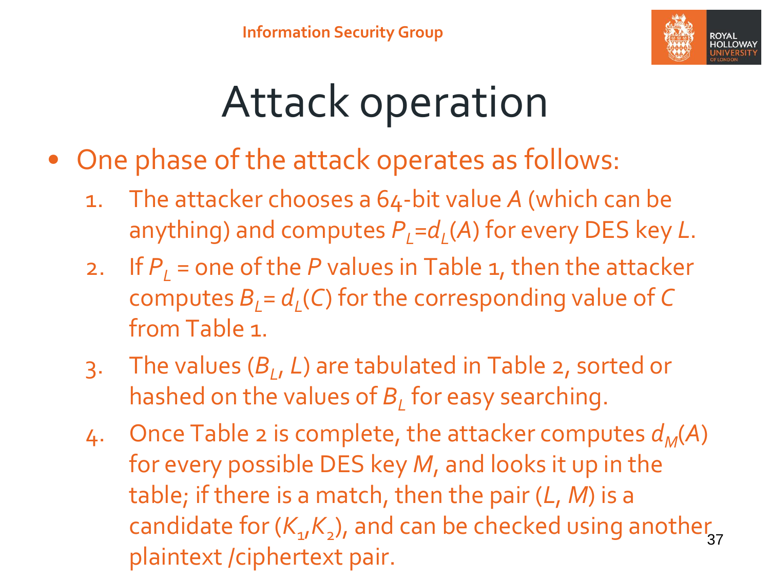

### Attack operation

- One phase of the attack operates as follows:
	- 1. The attacker chooses a 64-bit value *A* (which can be anything) and computes *PL*=*d<sup>L</sup>* (*A*) for every DES key *L*.
	- 2. If  $P<sub>l</sub>$  = one of the *P* values in Table 1, then the attacker computes *BL*= *d<sup>L</sup>* (*C*) for the corresponding value of *C* from Table 1.
	- 3. The values (*B<sup>L</sup>* , *L*) are tabulated in Table 2, sorted or hashed on the values of *B<sup>L</sup>* for easy searching.
	- 4. Once Table 2 is complete, the attacker computes  $d_M(A)$ for every possible DES key *M*, and looks it up in the table; if there is a match, then the pair (*L*, *M*) is a candidate for  $(K_{1}, K_{2})$ , and can be checked using another plaintext /ciphertext pair.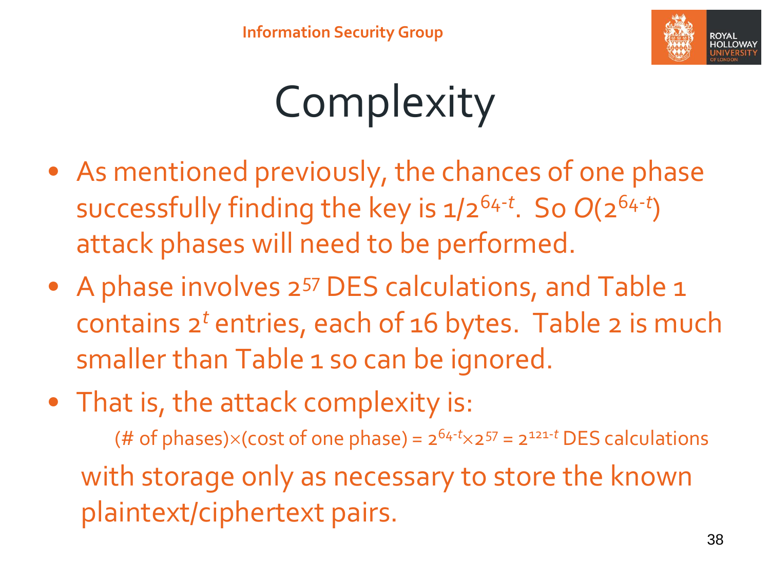

## Complexity

- As mentioned previously, the chances of one phase successfully finding the key is 1/264-*<sup>t</sup>* . So *O*(264-*<sup>t</sup>* ) attack phases will need to be performed.
- A phase involves 2<sup>57</sup> DES calculations, and Table 1 contains 2*<sup>t</sup>* entries, each of 16 bytes. Table 2 is much smaller than Table 1 so can be ignored.
- That is, the attack complexity is:

(# of phases) $\times$ (cost of one phase) =  $2^{64-t} \times 2^{57} = 2^{121-t}$  DES calculations with storage only as necessary to store the known plaintext/ciphertext pairs.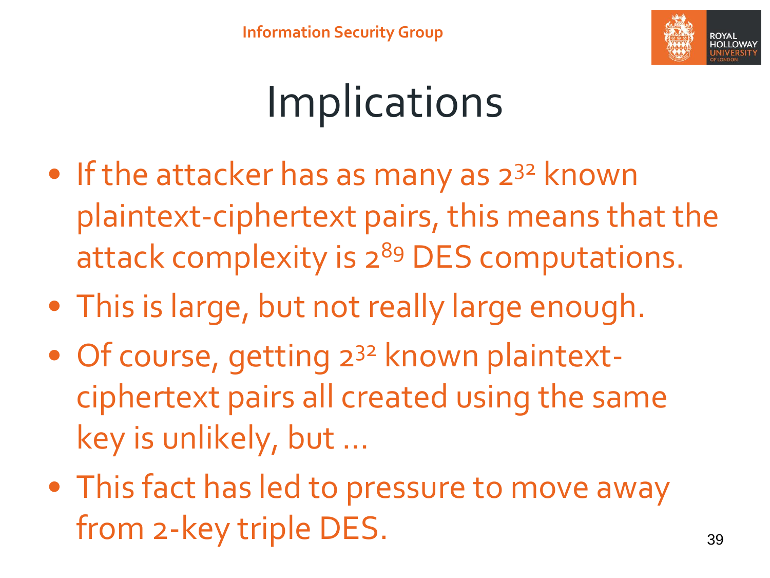

### Implications

- If the attacker has as many as  $2^{32}$  known plaintext-ciphertext pairs, this means that the attack complexity is 2<sup>89</sup> DES computations.
- This is large, but not really large enough.
- Of course, getting 2<sup>32</sup> known plaintextciphertext pairs all created using the same key is unlikely, but …
- This fact has led to pressure to move away from 2-key triple DES. 39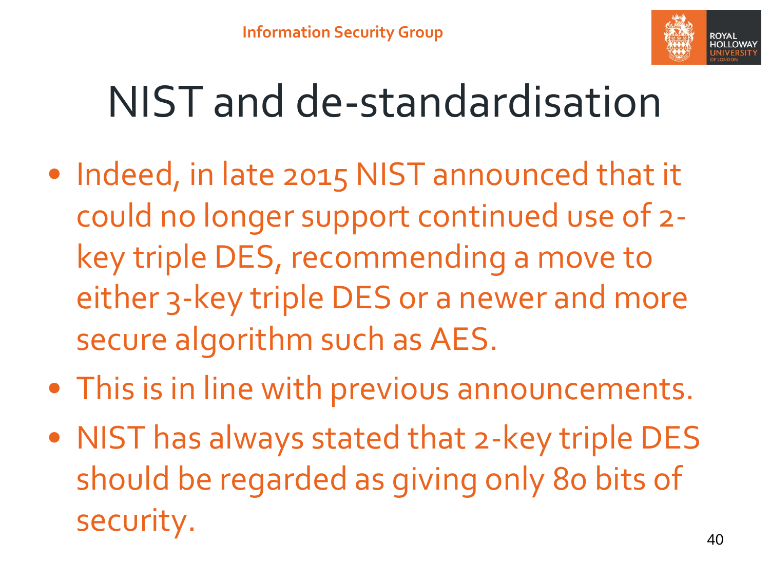

### NIST and de-standardisation

- Indeed, in late 2015 NIST announced that it could no longer support continued use of 2 key triple DES, recommending a move to either 3-key triple DES or a newer and more secure algorithm such as AES.
- This is in line with previous announcements.
- NIST has always stated that 2-key triple DES should be regarded as giving only 80 bits of security.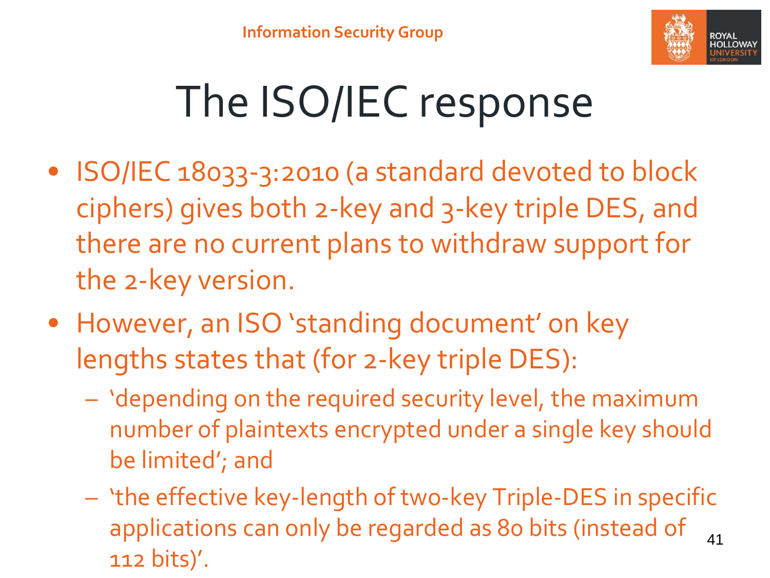

# The ISO/IEC response

- ISO/IEC 18033-3:2010 (a standard devoted to block ciphers) gives both 2-key and 3-key triple DES, and there are no current plans to withdraw support for the 2-key version.
- However, an ISO 'standing document' on key lengths states that (for 2-key triple DES):
	- 'depending on the required security level, the maximum number of plaintexts encrypted under a single key should be limited'; and
	- 'the effective key-length of two-key Triple-DES in specific applications can only be regarded as 80 bits (instead of 112 bits)'. 41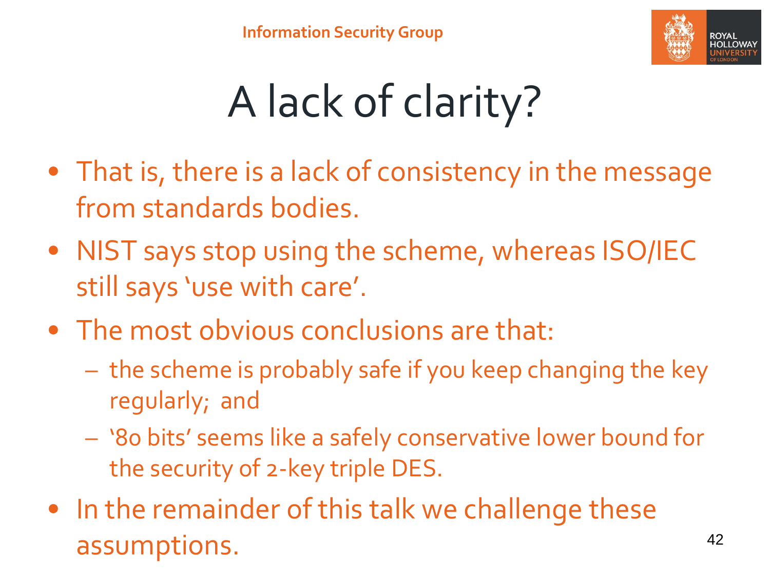

# A lack of clarity?

- That is, there is a lack of consistency in the message from standards bodies.
- NIST says stop using the scheme, whereas ISO/IEC still says 'use with care'.
- The most obvious conclusions are that:
	- the scheme is probably safe if you keep changing the key regularly; and
	- '80 bits' seems like a safely conservative lower bound for the security of 2-key triple DES.
- In the remainder of this talk we challenge these assumptions. 42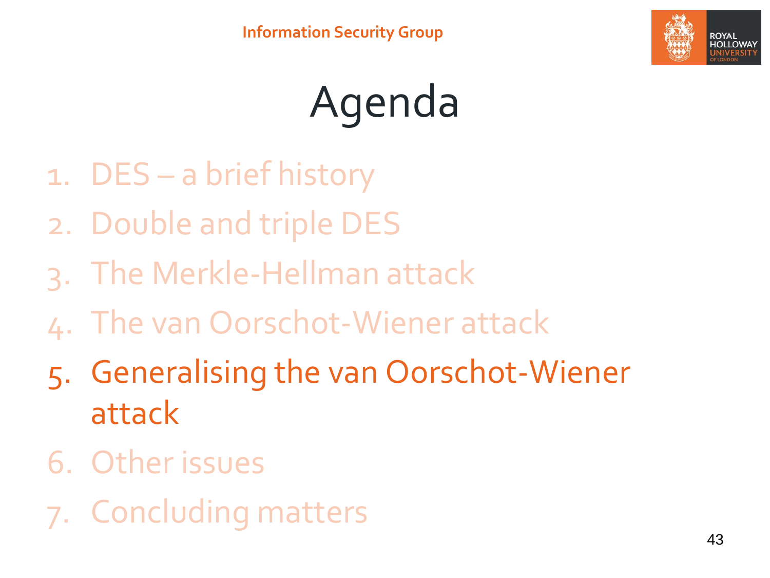

# Agenda

- 1. DES a brief history
- 2. Double and triple DES
- 3. The Merkle-Hellman attack
- 4. The van Oorschot-Wiener attack
- 5. Generalising the van Oorschot-Wiener attack
- 6. Other issues
- 7. Concluding matters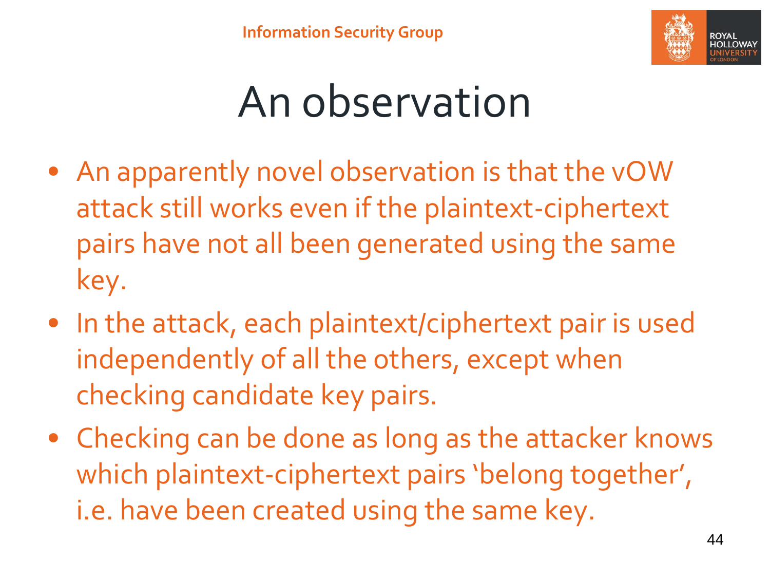

### An observation

- An apparently novel observation is that the vOW attack still works even if the plaintext-ciphertext pairs have not all been generated using the same key.
- In the attack, each plaintext/ciphertext pair is used independently of all the others, except when checking candidate key pairs.
- Checking can be done as long as the attacker knows which plaintext-ciphertext pairs 'belong together', i.e. have been created using the same key.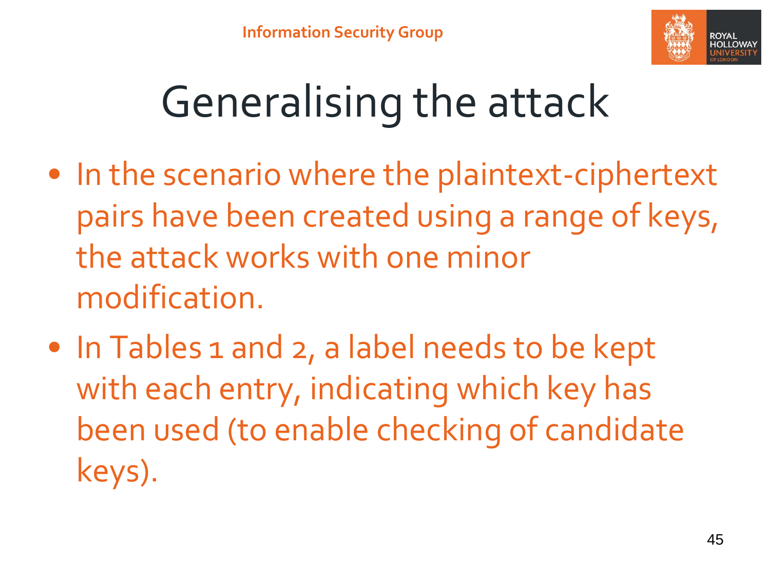

# Generalising the attack

- In the scenario where the plaintext-ciphertext pairs have been created using a range of keys, the attack works with one minor modification.
- In Tables 1 and 2, a label needs to be kept with each entry, indicating which key has been used (to enable checking of candidate keys).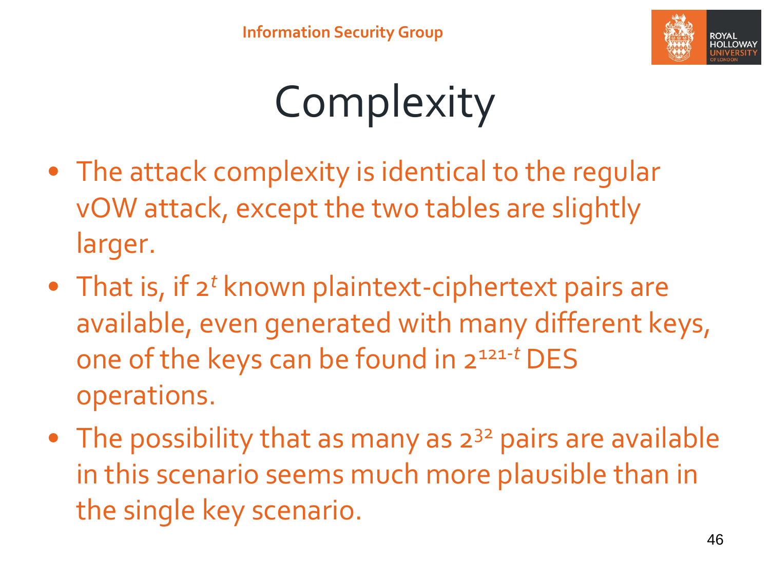

## Complexity

- The attack complexity is identical to the regular vOW attack, except the two tables are slightly larger.
- That is, if 2<sup>t</sup> known plaintext-ciphertext pairs are available, even generated with many different keys, one of the keys can be found in 2121-*<sup>t</sup>* DES operations.
- The possibility that as many as  $2^{32}$  pairs are available in this scenario seems much more plausible than in the single key scenario.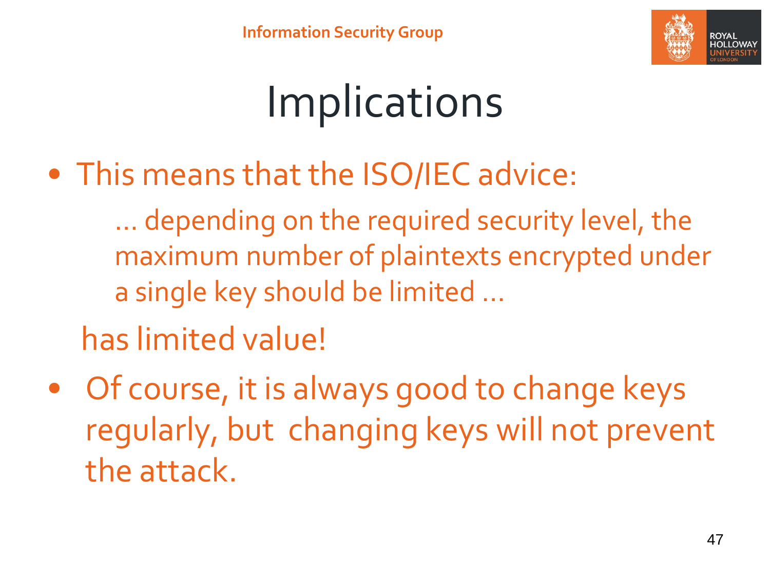

## Implications

• This means that the ISO/IEC advice:

… depending on the required security level, the maximum number of plaintexts encrypted under a single key should be limited …

has limited value!

• Of course, it is always good to change keys regularly, but changing keys will not prevent the attack.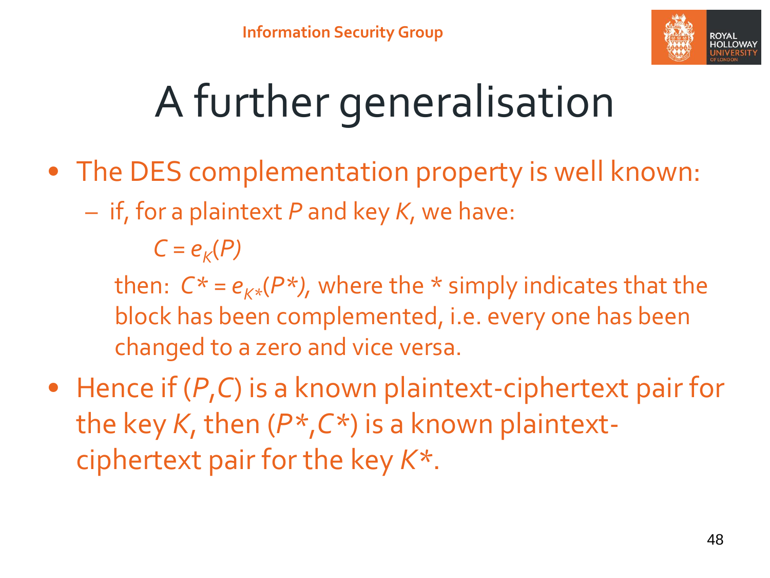

# A further generalisation

- The DES complementation property is well known:
	- if, for a plaintext *P* and key *K*, we have:

 $C = e_K(P)$ 

then:  $C^* = e_{K^*}(P^*)$ , where the  $*$  simply indicates that the block has been complemented, i.e. every one has been changed to a zero and vice versa.

• Hence if (*P*,*C*) is a known plaintext-ciphertext pair for the key *K*, then (*P\**,*C\**) is a known plaintextciphertext pair for the key *K\**.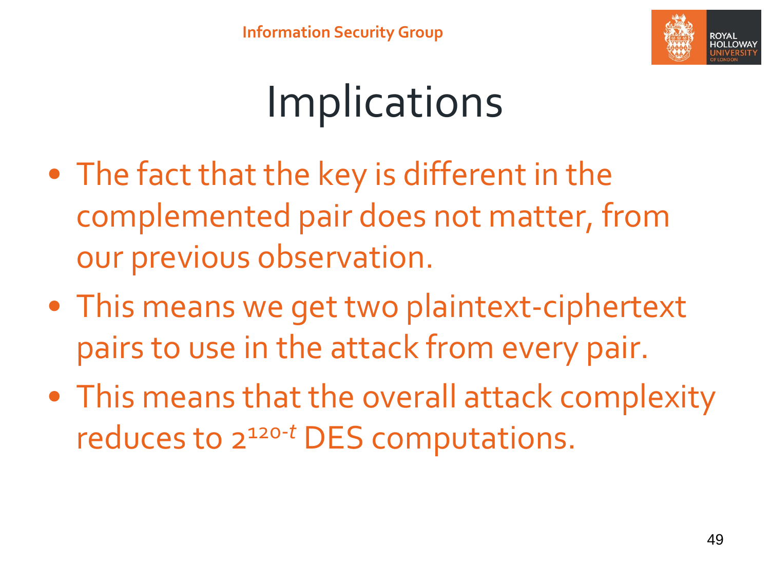

### **Implications**

- The fact that the key is different in the complemented pair does not matter, from our previous observation.
- This means we get two plaintext-ciphertext pairs to use in the attack from every pair.
- This means that the overall attack complexity reduces to 2120-*<sup>t</sup>* DES computations.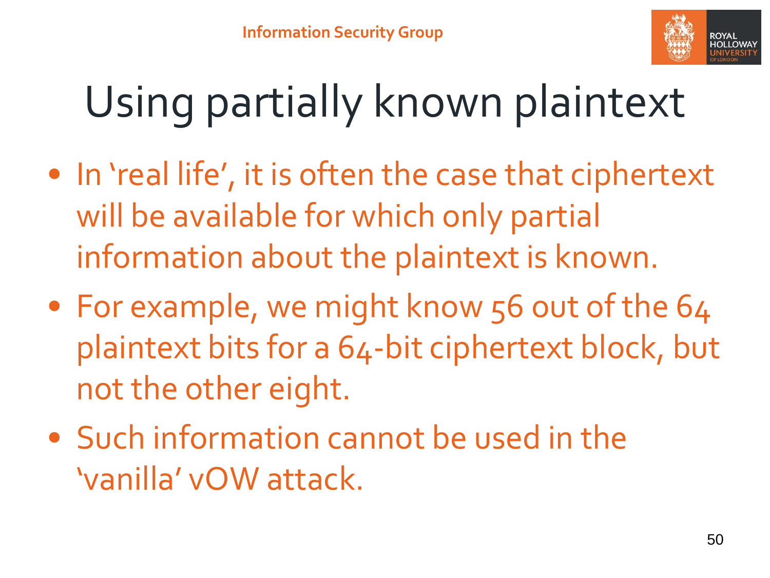

# Using partially known plaintext

- In 'real life', it is often the case that ciphertext will be available for which only partial information about the plaintext is known.
- For example, we might know 56 out of the 64 plaintext bits for a 64-bit ciphertext block, but not the other eight.
- Such information cannot be used in the 'vanilla' vOW attack.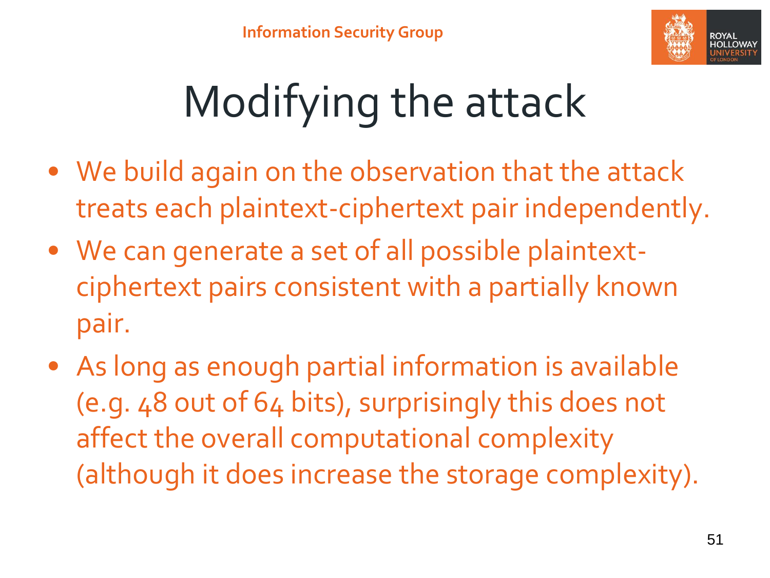

# Modifying the attack

- We build again on the observation that the attack treats each plaintext-ciphertext pair independently.
- We can generate a set of all possible plaintextciphertext pairs consistent with a partially known pair.
- As long as enough partial information is available (e.g. 48 out of 64 bits), surprisingly this does not affect the overall computational complexity (although it does increase the storage complexity).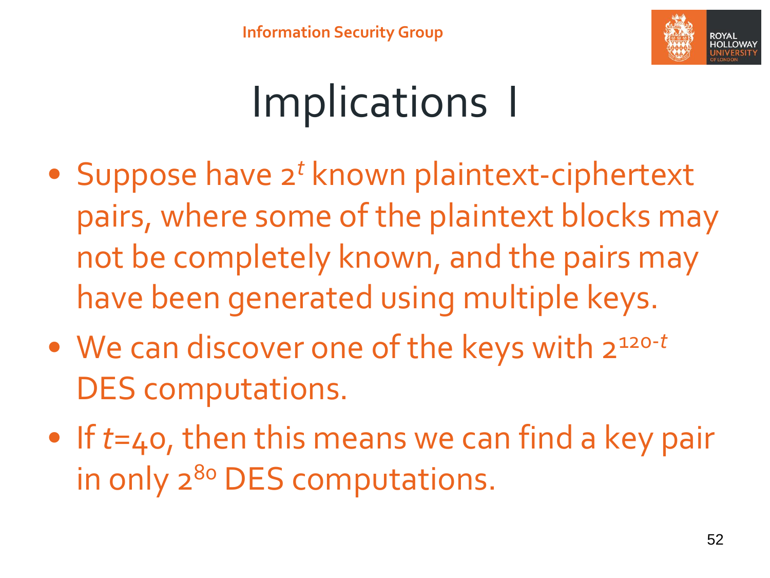

### Implications I

- Suppose have 2*<sup>t</sup>* known plaintext-ciphertext pairs, where some of the plaintext blocks may not be completely known, and the pairs may have been generated using multiple keys.
- We can discover one of the keys with 2120-*<sup>t</sup>* DES computations.
- If *t*=40, then this means we can find a key pair in only 2<sup>80</sup> DES computations.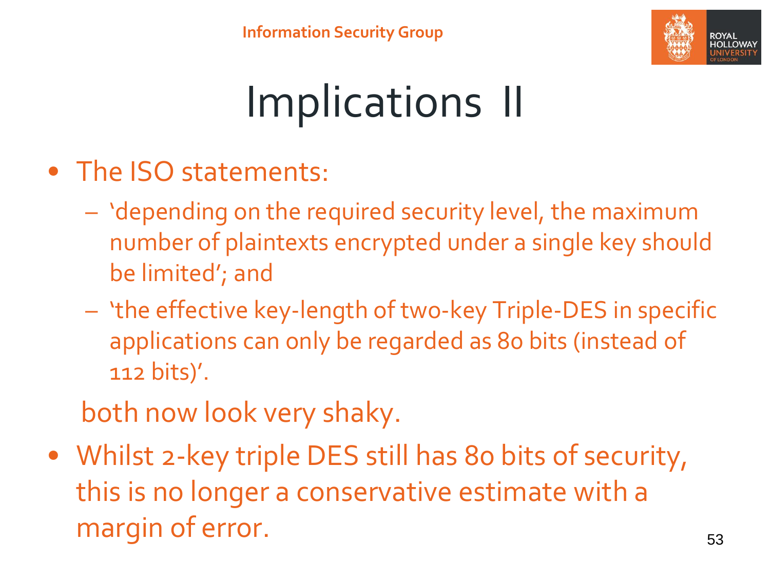

# Implications II

- The ISO statements:
	- 'depending on the required security level, the maximum number of plaintexts encrypted under a single key should be limited'; and
	- 'the effective key-length of two-key Triple-DES in specific applications can only be regarded as 80 bits (instead of 112 bits)'.
	- both now look very shaky.
- Whilst 2-key triple DES still has 80 bits of security, this is no longer a conservative estimate with a margin of error. The same state of  $\sim$  53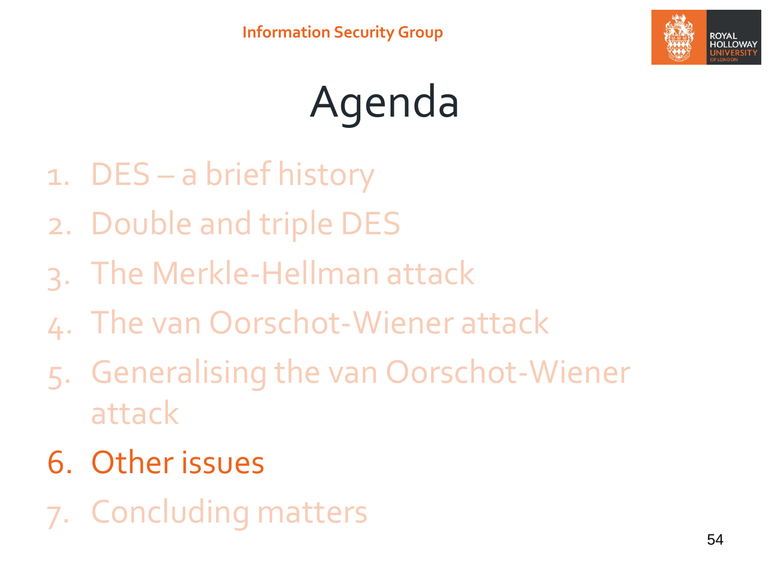

# Agenda

- 1. DES a brief history
- 2. Double and triple DES
- 3. The Merkle-Hellman attack
- 4. The van Oorschot-Wiener attack
- 5. Generalising the van Oorschot-Wiener attack
- 6. Other issues
- 7. Concluding matters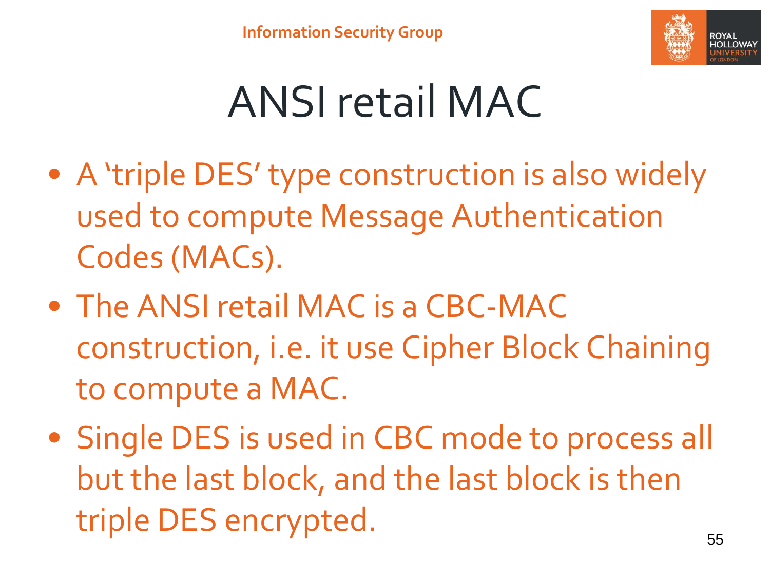

### ANSI retail MAC

- A 'triple DES' type construction is also widely used to compute Message Authentication Codes (MACs).
- The ANSI retail MAC is a CBC-MAC construction, i.e. it use Cipher Block Chaining to compute a MAC.
- Single DES is used in CBC mode to process all but the last block, and the last block is then triple DES encrypted.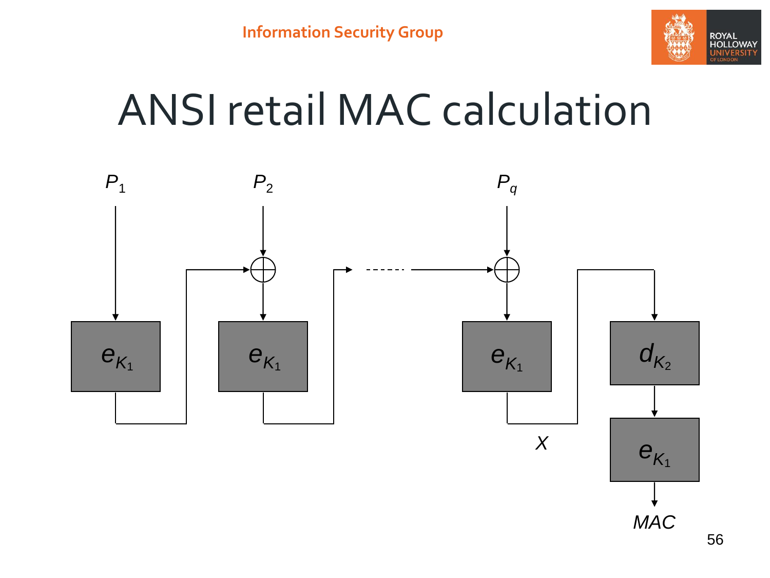

### ANSI retail MAC calculation

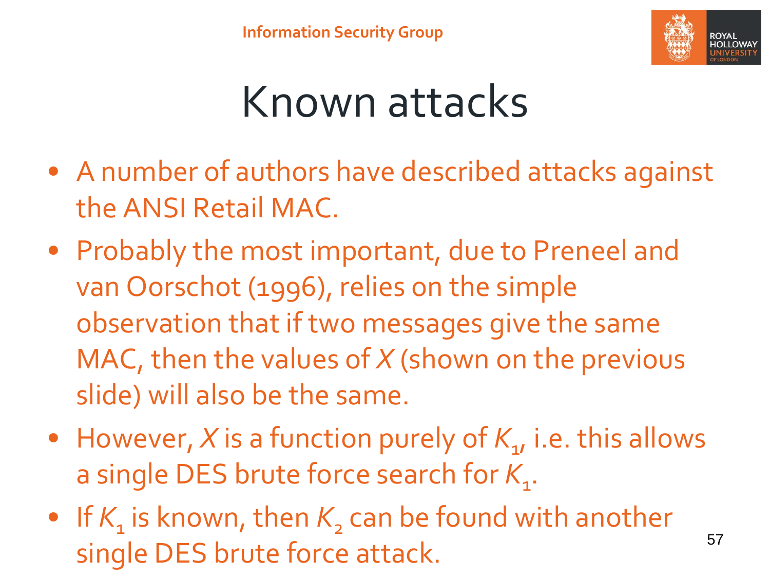

### Known attacks

- A number of authors have described attacks against the ANSI Retail MAC.
- Probably the most important, due to Preneel and van Oorschot (1996), relies on the simple observation that if two messages give the same MAC, then the values of *X* (shown on the previous slide) will also be the same.
- However, *X* is a function purely of  $K_{1}$ , i.e. this allows a single DES brute force search for K<sub>1</sub>.
- If  $K_{1}$  is known, then  $K_{2}$  can be found with another single DES brute force attack. 57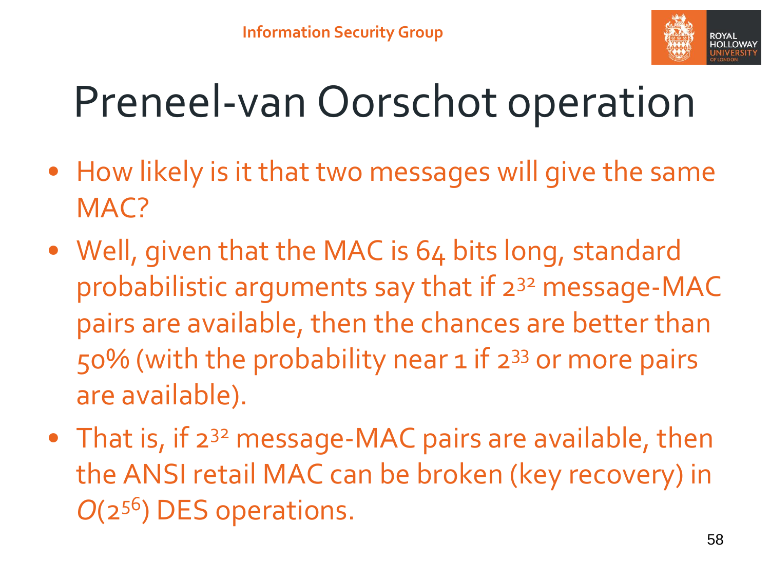

### Preneel-van Oorschot operation

- How likely is it that two messages will give the same MAC?
- Well, given that the MAC is 64 bits long, standard probabilistic arguments say that if 2<sup>32</sup> message-MAC pairs are available, then the chances are better than 50% (with the probability near 1 if 2<sup>33</sup> or more pairs are available).
- That is, if 2<sup>32</sup> message-MAC pairs are available, then the ANSI retail MAC can be broken (key recovery) in *O*(2<sup>56</sup>) DES operations.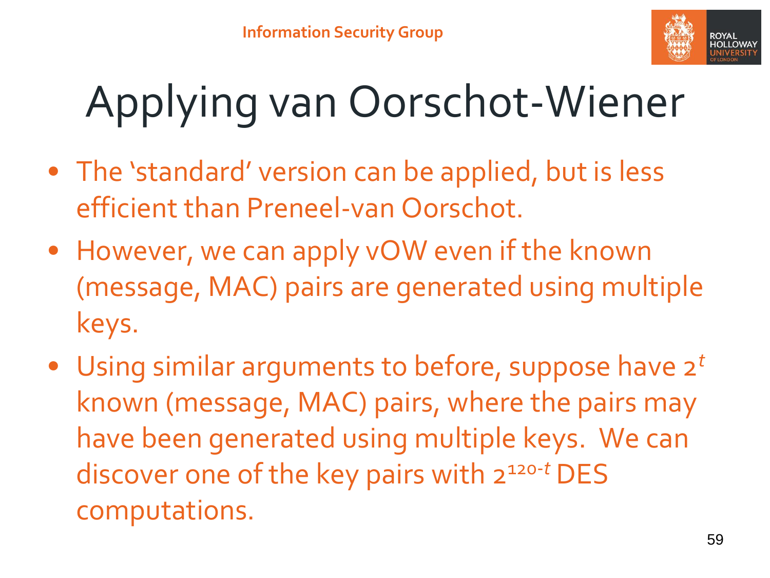

# Applying van Oorschot-Wiener

- The 'standard' version can be applied, but is less efficient than Preneel-van Oorschot.
- However, we can apply vOW even if the known (message, MAC) pairs are generated using multiple keys.
- Using similar arguments to before, suppose have 2*<sup>t</sup>* known (message, MAC) pairs, where the pairs may have been generated using multiple keys. We can discover one of the key pairs with 2120-*<sup>t</sup>* DES computations.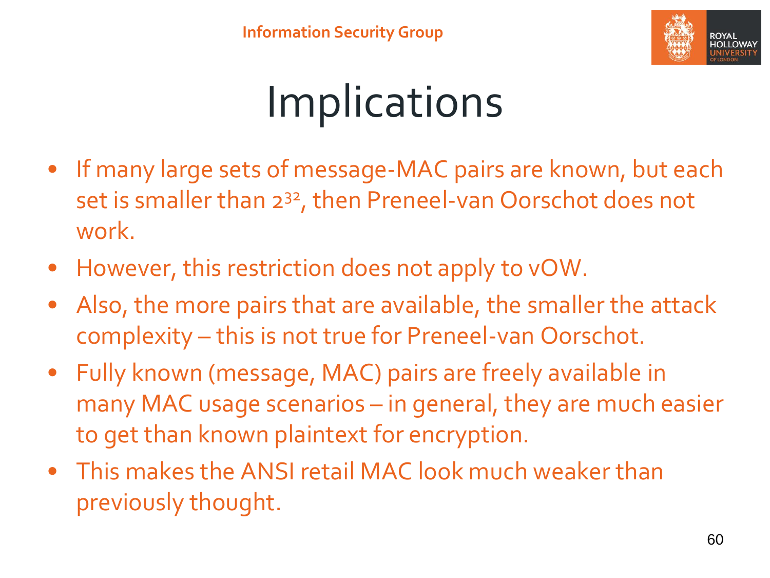

### Implications

- If many large sets of message-MAC pairs are known, but each set is smaller than 2<sup>32</sup>, then Preneel-van Oorschot does not work.
- However, this restriction does not apply to vOW.
- Also, the more pairs that are available, the smaller the attack complexity – this is not true for Preneel-van Oorschot.
- Fully known (message, MAC) pairs are freely available in many MAC usage scenarios – in general, they are much easier to get than known plaintext for encryption.
- This makes the ANSI retail MAC look much weaker than previously thought.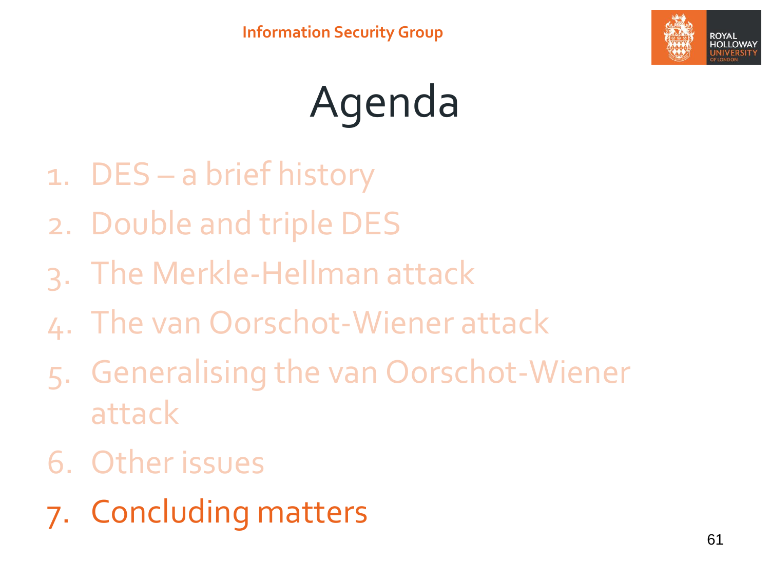

# Agenda

- 1. DES a brief history
- 2. Double and triple DES
- 3. The Merkle-Hellman attack
- 4. The van Oorschot-Wiener attack
- 5. Generalising the van Oorschot-Wiener attack
- 6. Other issues
- 7. Concluding matters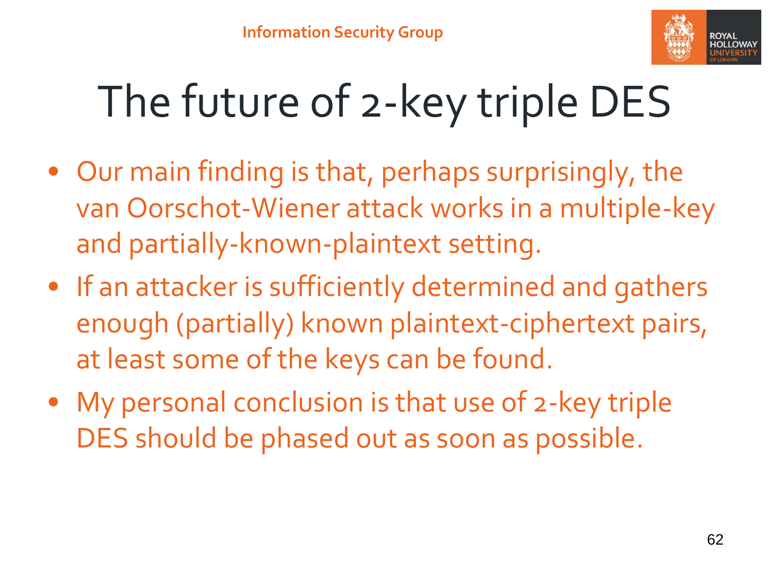

# The future of 2-key triple DES

- Our main finding is that, perhaps surprisingly, the van Oorschot-Wiener attack works in a multiple-key and partially-known-plaintext setting.
- If an attacker is sufficiently determined and gathers enough (partially) known plaintext-ciphertext pairs, at least some of the keys can be found.
- My personal conclusion is that use of 2-key triple DES should be phased out as soon as possible.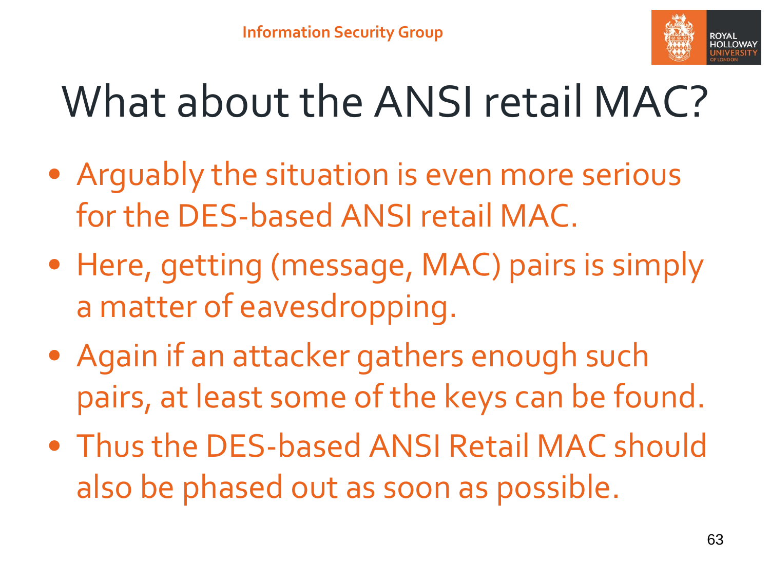

### What about the ANSI retail MAC?

- Arguably the situation is even more serious for the DES-based ANSI retail MAC.
- Here, getting (message, MAC) pairs is simply a matter of eavesdropping.
- Again if an attacker gathers enough such pairs, at least some of the keys can be found.
- Thus the DES-based ANSI Retail MAC should also be phased out as soon as possible.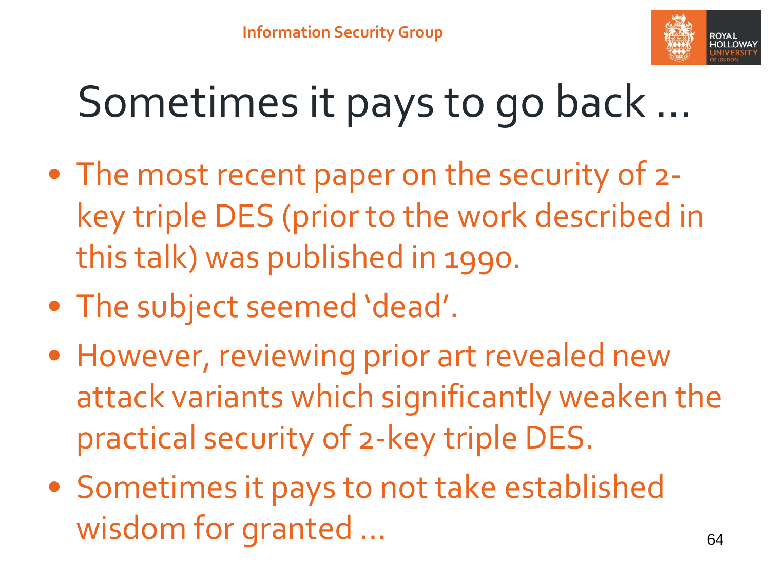

### Sometimes it pays to go back …

- The most recent paper on the security of 2 key triple DES (prior to the work described in this talk) was published in 1990.
- The subject seemed 'dead'.
- However, reviewing prior art revealed new attack variants which significantly weaken the practical security of 2-key triple DES.
- Sometimes it pays to not take established wisdom for granted ... 64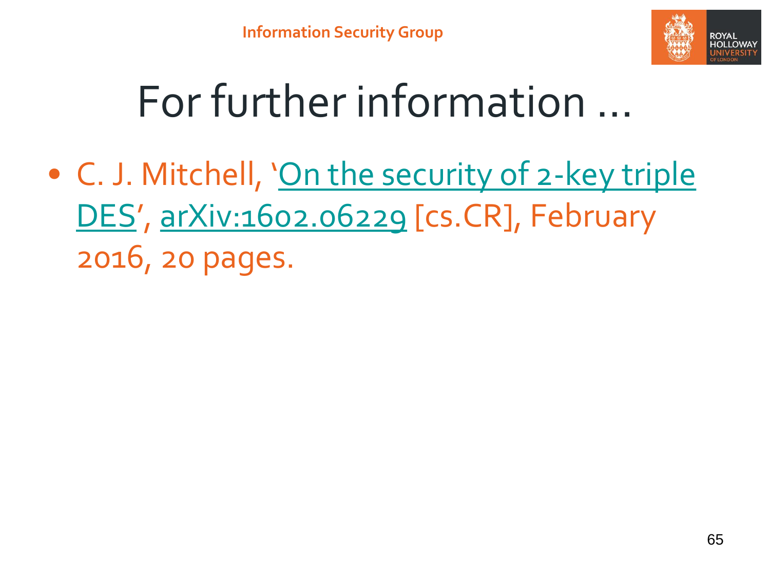

### For further information …

• C. J. Mitchell, '[On the security of 2-key triple](http://www.chrismitchell.net/Papers/otso2t.pdf) DES', [arXiv:1602.06229](http://arxiv.org/abs/1602.06229) [cs.CR], February 2016, 20 pages.